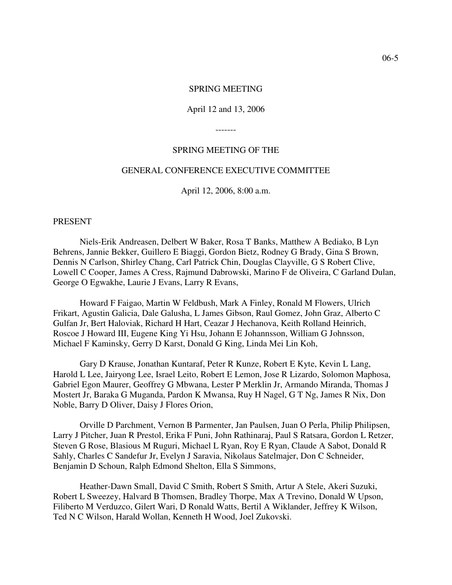#### SPRING MEETING

#### April 12 and 13, 2006

-------

### SPRING MEETING OF THE

#### GENERAL CONFERENCE EXECUTIVE COMMITTEE

April 12, 2006, 8:00 a.m.

#### PRESENT

Niels-Erik Andreasen, Delbert W Baker, Rosa T Banks, Matthew A Bediako, B Lyn Behrens, Jannie Bekker, Guillero E Biaggi, Gordon Bietz, Rodney G Brady, Gina S Brown, Dennis N Carlson, Shirley Chang, Carl Patrick Chin, Douglas Clayville, G S Robert Clive, Lowell C Cooper, James A Cress, Rajmund Dabrowski, Marino F de Oliveira, C Garland Dulan, George O Egwakhe, Laurie J Evans, Larry R Evans,

Howard F Faigao, Martin W Feldbush, Mark A Finley, Ronald M Flowers, Ulrich Frikart, Agustin Galicia, Dale Galusha, L James Gibson, Raul Gomez, John Graz, Alberto C Gulfan Jr, Bert Haloviak, Richard H Hart, Ceazar J Hechanova, Keith Rolland Heinrich, Roscoe J Howard III, Eugene King Yi Hsu, Johann E Johannsson, William G Johnsson, Michael F Kaminsky, Gerry D Karst, Donald G King, Linda Mei Lin Koh,

Gary D Krause, Jonathan Kuntaraf, Peter R Kunze, Robert E Kyte, Kevin L Lang, Harold L Lee, Jairyong Lee, Israel Leito, Robert E Lemon, Jose R Lizardo, Solomon Maphosa, Gabriel Egon Maurer, Geoffrey G Mbwana, Lester P Merklin Jr, Armando Miranda, Thomas J Mostert Jr, Baraka G Muganda, Pardon K Mwansa, Ruy H Nagel, G T Ng, James R Nix, Don Noble, Barry D Oliver, Daisy J Flores Orion,

Orville D Parchment, Vernon B Parmenter, Jan Paulsen, Juan O Perla, Philip Philipsen, Larry J Pitcher, Juan R Prestol, Erika F Puni, John Rathinaraj, Paul S Ratsara, Gordon L Retzer, Steven G Rose, Blasious M Ruguri, Michael L Ryan, Roy E Ryan, Claude A Sabot, Donald R Sahly, Charles C Sandefur Jr, Evelyn J Saravia, Nikolaus Satelmajer, Don C Schneider, Benjamin D Schoun, Ralph Edmond Shelton, Ella S Simmons,

Heather-Dawn Small, David C Smith, Robert S Smith, Artur A Stele, Akeri Suzuki, Robert L Sweezey, Halvard B Thomsen, Bradley Thorpe, Max A Trevino, Donald W Upson, Filiberto M Verduzco, Gilert Wari, D Ronald Watts, Bertil A Wiklander, Jeffrey K Wilson, Ted N C Wilson, Harald Wollan, Kenneth H Wood, Joel Zukovski.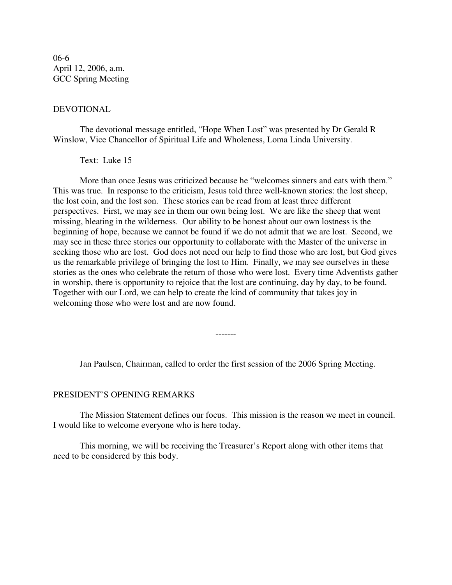06-6 April 12, 2006, a.m. GCC Spring Meeting

### DEVOTIONAL

The devotional message entitled, "Hope When Lost" was presented by Dr Gerald R Winslow, Vice Chancellor of Spiritual Life and Wholeness, Loma Linda University.

Text: Luke 15

More than once Jesus was criticized because he "welcomes sinners and eats with them." This was true. In response to the criticism, Jesus told three well-known stories: the lost sheep, the lost coin, and the lost son. These stories can be read from at least three different perspectives. First, we may see in them our own being lost. We are like the sheep that went missing, bleating in the wilderness. Our ability to be honest about our own lostness is the beginning of hope, because we cannot be found if we do not admit that we are lost. Second, we may see in these three stories our opportunity to collaborate with the Master of the universe in seeking those who are lost. God does not need our help to find those who are lost, but God gives us the remarkable privilege of bringing the lost to Him. Finally, we may see ourselves in these stories as the ones who celebrate the return of those who were lost. Every time Adventists gather in worship, there is opportunity to rejoice that the lost are continuing, day by day, to be found. Together with our Lord, we can help to create the kind of community that takes joy in welcoming those who were lost and are now found.

Jan Paulsen, Chairman, called to order the first session of the 2006 Spring Meeting.

-------

### PRESIDENT'S OPENING REMARKS

The Mission Statement defines our focus. This mission is the reason we meet in council. I would like to welcome everyone who is here today.

This morning, we will be receiving the Treasurer's Report along with other items that need to be considered by this body.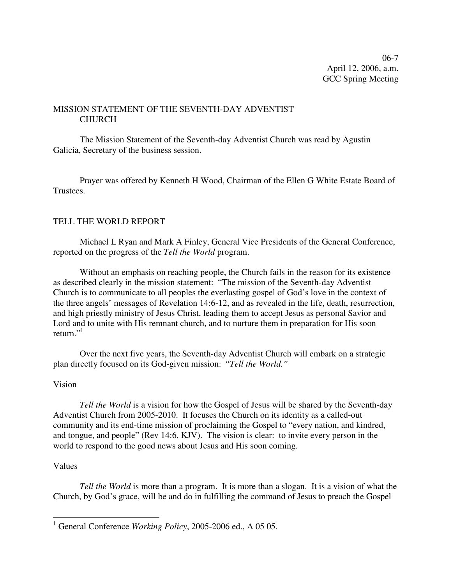06-7 April 12, 2006, a.m. GCC Spring Meeting

## MISSION STATEMENT OF THE SEVENTH-DAY ADVENTIST **CHURCH**

The Mission Statement of the Seventh-day Adventist Church was read by Agustin Galicia, Secretary of the business session.

Prayer was offered by Kenneth H Wood, Chairman of the Ellen G White Estate Board of Trustees.

## TELL THE WORLD REPORT

Michael L Ryan and Mark A Finley, General Vice Presidents of the General Conference, reported on the progress of the *Tell the World* program.

Without an emphasis on reaching people, the Church fails in the reason for its existence as described clearly in the mission statement: "The mission of the Seventh-day Adventist Church is to communicate to all peoples the everlasting gospel of God's love in the context of the three angels' messages of Revelation 14:6-12, and as revealed in the life, death, resurrection, and high priestly ministry of Jesus Christ, leading them to accept Jesus as personal Savior and Lord and to unite with His remnant church, and to nurture them in preparation for His soon return."<sup>1</sup>

Over the next five years, the Seventh-day Adventist Church will embark on a strategic plan directly focused on its God-given mission: "*Tell the World."*

## Vision

*Tell the World* is a vision for how the Gospel of Jesus will be shared by the Seventh-day Adventist Church from 2005-2010. It focuses the Church on its identity as a called-out community and its end-time mission of proclaiming the Gospel to "every nation, and kindred, and tongue, and people" (Rev 14:6, KJV). The vision is clear: to invite every person in the world to respond to the good news about Jesus and His soon coming.

## Values

*Tell the World* is more than a program. It is more than a slogan. It is a vision of what the Church, by God's grace, will be and do in fulfilling the command of Jesus to preach the Gospel

<sup>1</sup> General Conference *Working Policy*, 2005-2006 ed., A 05 05.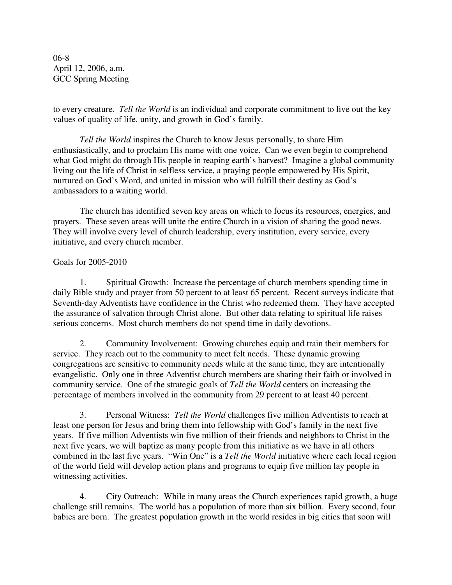06-8 April 12, 2006, a.m. GCC Spring Meeting

to every creature. *Tell the World* is an individual and corporate commitment to live out the key values of quality of life, unity, and growth in God's family.

*Tell the World* inspires the Church to know Jesus personally, to share Him enthusiastically, and to proclaim His name with one voice. Can we even begin to comprehend what God might do through His people in reaping earth's harvest? Imagine a global community living out the life of Christ in selfless service, a praying people empowered by His Spirit, nurtured on God's Word, and united in mission who will fulfill their destiny as God's ambassadors to a waiting world.

The church has identified seven key areas on which to focus its resources, energies, and prayers. These seven areas will unite the entire Church in a vision of sharing the good news. They will involve every level of church leadership, every institution, every service, every initiative, and every church member.

## Goals for 2005-2010

1. Spiritual Growth: Increase the percentage of church members spending time in daily Bible study and prayer from 50 percent to at least 65 percent. Recent surveys indicate that Seventh-day Adventists have confidence in the Christ who redeemed them. They have accepted the assurance of salvation through Christ alone. But other data relating to spiritual life raises serious concerns. Most church members do not spend time in daily devotions.

2. Community Involvement: Growing churches equip and train their members for service. They reach out to the community to meet felt needs. These dynamic growing congregations are sensitive to community needs while at the same time, they are intentionally evangelistic. Only one in three Adventist church members are sharing their faith or involved in community service. One of the strategic goals of *Tell the World* centers on increasing the percentage of members involved in the community from 29 percent to at least 40 percent.

3. Personal Witness: *Tell the World* challenges five million Adventists to reach at least one person for Jesus and bring them into fellowship with God's family in the next five years. If five million Adventists win five million of their friends and neighbors to Christ in the next five years, we will baptize as many people from this initiative as we have in all others combined in the last five years. "Win One" is a *Tell the World* initiative where each local region of the world field will develop action plans and programs to equip five million lay people in witnessing activities.

4. City Outreach: While in many areas the Church experiences rapid growth, a huge challenge still remains. The world has a population of more than six billion. Every second, four babies are born. The greatest population growth in the world resides in big cities that soon will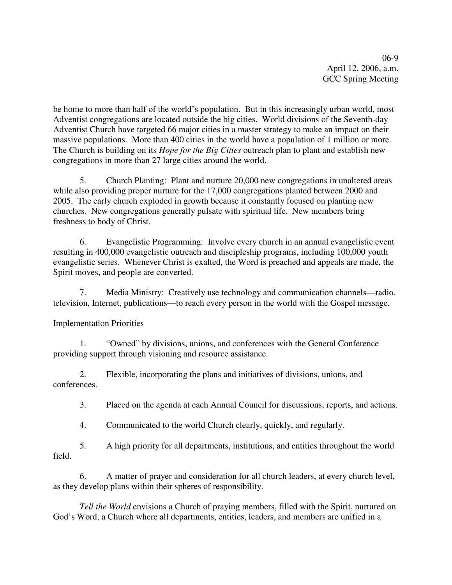06-9 April 12, 2006, a.m. GCC Spring Meeting

be home to more than half of the world's population. But in this increasingly urban world, most Adventist congregations are located outside the big cities. World divisions of the Seventh-day Adventist Church have targeted 66 major cities in a master strategy to make an impact on their massive populations. More than 400 cities in the world have a population of 1 million or more. The Church is building on its *Hope for the Big Cities* outreach plan to plant and establish new congregations in more than 27 large cities around the world.

5. Church Planting: Plant and nurture 20,000 new congregations in unaltered areas while also providing proper nurture for the 17,000 congregations planted between 2000 and 2005. The early church exploded in growth because it constantly focused on planting new churches. New congregations generally pulsate with spiritual life. New members bring freshness to body of Christ.

6. Evangelistic Programming: Involve every church in an annual evangelistic event resulting in 400,000 evangelistic outreach and discipleship programs, including 100,000 youth evangelistic series. Whenever Christ is exalted, the Word is preached and appeals are made, the Spirit moves, and people are converted.

7. Media Ministry: Creatively use technology and communication channels—radio, television, Internet, publications—to reach every person in the world with the Gospel message.

Implementation Priorities

1. "Owned" by divisions, unions, and conferences with the General Conference providing support through visioning and resource assistance.

2. Flexible, incorporating the plans and initiatives of divisions, unions, and conferences.

3. Placed on the agenda at each Annual Council for discussions, reports, and actions.

4. Communicated to the world Church clearly, quickly, and regularly.

5. A high priority for all departments, institutions, and entities throughout the world field.

6. A matter of prayer and consideration for all church leaders, at every church level, as they develop plans within their spheres of responsibility.

*Tell the World* envisions a Church of praying members, filled with the Spirit, nurtured on God's Word, a Church where all departments, entities, leaders, and members are unified in a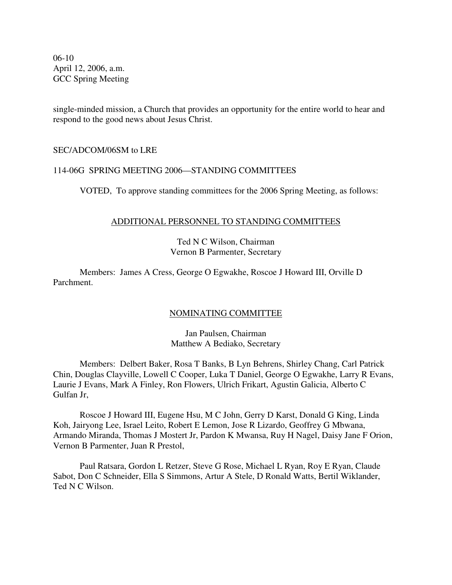06-10 April 12, 2006, a.m. GCC Spring Meeting

single-minded mission, a Church that provides an opportunity for the entire world to hear and respond to the good news about Jesus Christ.

## SEC/ADCOM/06SM to LRE

## 114-06G SPRING MEETING 2006—STANDING COMMITTEES

VOTED, To approve standing committees for the 2006 Spring Meeting, as follows:

## ADDITIONAL PERSONNEL TO STANDING COMMITTEES

## Ted N C Wilson, Chairman Vernon B Parmenter, Secretary

Members: James A Cress, George O Egwakhe, Roscoe J Howard III, Orville D Parchment.

## NOMINATING COMMITTEE

Jan Paulsen, Chairman Matthew A Bediako, Secretary

Members: Delbert Baker, Rosa T Banks, B Lyn Behrens, Shirley Chang, Carl Patrick Chin, Douglas Clayville, Lowell C Cooper, Luka T Daniel, George O Egwakhe, Larry R Evans, Laurie J Evans, Mark A Finley, Ron Flowers, Ulrich Frikart, Agustin Galicia, Alberto C Gulfan Jr,

Roscoe J Howard III, Eugene Hsu, M C John, Gerry D Karst, Donald G King, Linda Koh, Jairyong Lee, Israel Leito, Robert E Lemon, Jose R Lizardo, Geoffrey G Mbwana, Armando Miranda, Thomas J Mostert Jr, Pardon K Mwansa, Ruy H Nagel, Daisy Jane F Orion, Vernon B Parmenter, Juan R Prestol,

Paul Ratsara, Gordon L Retzer, Steve G Rose, Michael L Ryan, Roy E Ryan, Claude Sabot, Don C Schneider, Ella S Simmons, Artur A Stele, D Ronald Watts, Bertil Wiklander, Ted N C Wilson.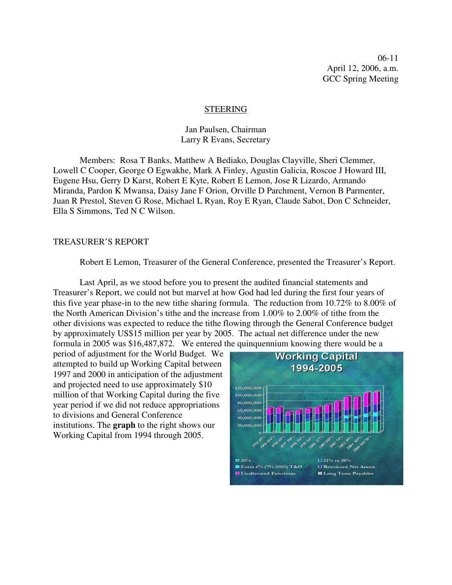06-11 April 12, 2006, a.m. GCC Spring Meeting

#### STEERING

Jan Paulsen, Chairman Larry R Evans, Secretary

Members: Rosa T Banks, Matthew A Bediako, Douglas Clayville, Sheri Clemmer, Lowell C Cooper, George O Egwakhe, Mark A Finley, Agustin Galicia, Roscoe J Howard III, Eugene Hsu, Gerry D Karst, Robert E Kyte, Robert E Lemon, Jose R Lizardo, Armando Miranda, Pardon K Mwansa, Daisy Jane F Orion, Orville D Parchment, Vernon B Parmenter, Juan R Prestol, Steven G Rose, Michael L Ryan, Roy E Ryan, Claude Sabot, Don C Schneider, Ella S Simmons, Ted N C Wilson.

#### TREASURER'S REPORT

Robert E Lemon, Treasurer of the General Conference, presented the Treasurer's Report.

Last April, as we stood before you to present the audited financial statements and Treasurer's Report, we could not but marvel at how God had led during the first four years of this five year phase-in to the new tithe sharing formula. The reduction from 10.72% to 8.00% of the North American Division's tithe and the increase from 1.00% to 2.00% of tithe from the other divisions was expected to reduce the tithe flowing through the General Conference budget by approximately US\$15 million per year by 2005. The actual net difference under the new formula in 2005 was \$16,487,872. We entered the quinquennium knowing there would be a

period of adjustment for the World Budget. We attempted to build up Working Capital between 1997 and 2000 in anticipation of the adjustment and projected need to use approximately \$10 million of that Working Capital during the five year period if we did not reduce appropriations to divisions and General Conference institutions. The **graph** to the right shows our Working Capital from 1994 through 2005.

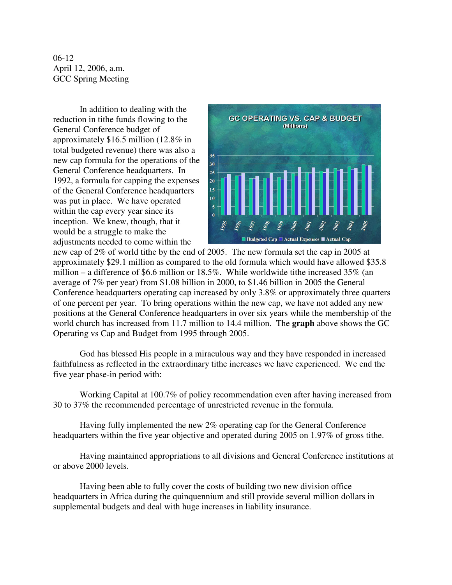06-12 April 12, 2006, a.m. GCC Spring Meeting

In addition to dealing with the reduction in tithe funds flowing to the General Conference budget of approximately \$16.5 million (12.8% in total budgeted revenue) there was also a new cap formula for the operations of the General Conference headquarters. In 1992, a formula for capping the expenses of the General Conference headquarters was put in place. We have operated within the cap every year since its inception. We knew, though, that it would be a struggle to make the adjustments needed to come within the



new cap of 2% of world tithe by the end of 2005. The new formula set the cap in 2005 at approximately \$29.1 million as compared to the old formula which would have allowed \$35.8 million – a difference of \$6.6 million or 18.5%. While worldwide tithe increased 35% (an average of 7% per year) from \$1.08 billion in 2000, to \$1.46 billion in 2005 the General Conference headquarters operating cap increased by only 3.8% or approximately three quarters of one percent per year. To bring operations within the new cap, we have not added any new positions at the General Conference headquarters in over six years while the membership of the world church has increased from 11.7 million to 14.4 million. The **graph** above shows the GC Operating vs Cap and Budget from 1995 through 2005.

God has blessed His people in a miraculous way and they have responded in increased faithfulness as reflected in the extraordinary tithe increases we have experienced. We end the five year phase-in period with:

Working Capital at 100.7% of policy recommendation even after having increased from 30 to 37% the recommended percentage of unrestricted revenue in the formula.

Having fully implemented the new 2% operating cap for the General Conference headquarters within the five year objective and operated during 2005 on 1.97% of gross tithe.

Having maintained appropriations to all divisions and General Conference institutions at or above 2000 levels.

Having been able to fully cover the costs of building two new division office headquarters in Africa during the quinquennium and still provide several million dollars in supplemental budgets and deal with huge increases in liability insurance.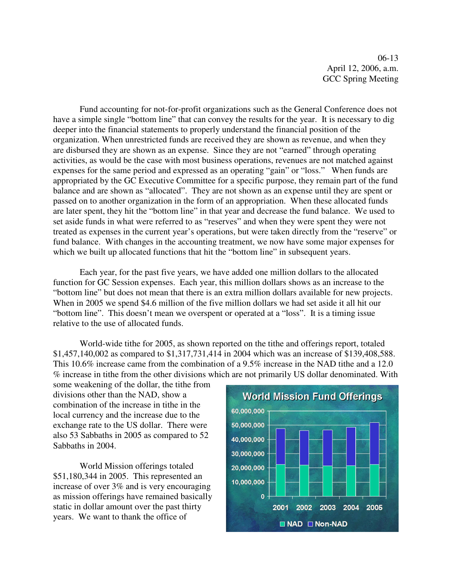06-13 April 12, 2006, a.m. GCC Spring Meeting

Fund accounting for not-for-profit organizations such as the General Conference does not have a simple single "bottom line" that can convey the results for the year. It is necessary to dig deeper into the financial statements to properly understand the financial position of the organization. When unrestricted funds are received they are shown as revenue, and when they are disbursed they are shown as an expense. Since they are not "earned" through operating activities, as would be the case with most business operations, revenues are not matched against expenses for the same period and expressed as an operating "gain" or "loss." When funds are appropriated by the GC Executive Committee for a specific purpose, they remain part of the fund balance and are shown as "allocated". They are not shown as an expense until they are spent or passed on to another organization in the form of an appropriation. When these allocated funds are later spent, they hit the "bottom line" in that year and decrease the fund balance. We used to set aside funds in what were referred to as "reserves" and when they were spent they were not treated as expenses in the current year's operations, but were taken directly from the "reserve" or fund balance. With changes in the accounting treatment, we now have some major expenses for which we built up allocated functions that hit the "bottom line" in subsequent years.

Each year, for the past five years, we have added one million dollars to the allocated function for GC Session expenses. Each year, this million dollars shows as an increase to the "bottom line" but does not mean that there is an extra million dollars available for new projects. When in 2005 we spend \$4.6 million of the five million dollars we had set aside it all hit our "bottom line". This doesn't mean we overspent or operated at a "loss". It is a timing issue relative to the use of allocated funds.

World-wide tithe for 2005, as shown reported on the tithe and offerings report, totaled \$1,457,140,002 as compared to \$1,317,731,414 in 2004 which was an increase of \$139,408,588. This 10.6% increase came from the combination of a 9.5% increase in the NAD tithe and a 12.0 % increase in tithe from the other divisions which are not primarily US dollar denominated. With

some weakening of the dollar, the tithe from divisions other than the NAD, show a combination of the increase in tithe in the local currency and the increase due to the exchange rate to the US dollar. There were also 53 Sabbaths in 2005 as compared to 52 Sabbaths in 2004.

World Mission offerings totaled \$51,180,344 in 2005. This represented an increase of over 3% and is very encouraging as mission offerings have remained basically static in dollar amount over the past thirty years. We want to thank the office of

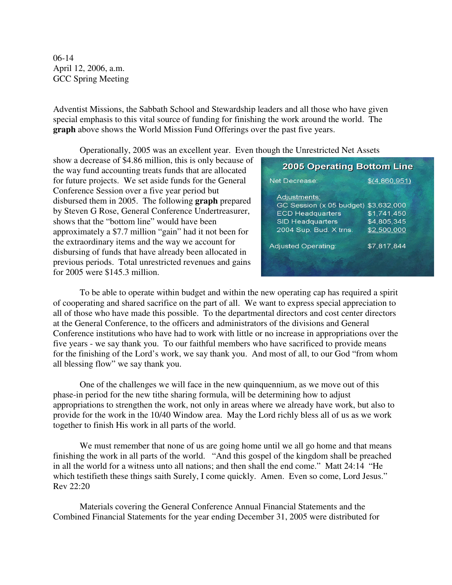06-14 April 12, 2006, a.m. GCC Spring Meeting

Adventist Missions, the Sabbath School and Stewardship leaders and all those who have given special emphasis to this vital source of funding for finishing the work around the world. The **graph** above shows the World Mission Fund Offerings over the past five years.

Operationally, 2005 was an excellent year. Even though the Unrestricted Net Assets

show a decrease of \$4.86 million, this is only because of the way fund accounting treats funds that are allocated for future projects. We set aside funds for the General Conference Session over a five year period but disbursed them in 2005. The following **graph** prepared by Steven G Rose, General Conference Undertreasurer, shows that the "bottom line" would have been approximately a \$7.7 million "gain" had it not been for the extraordinary items and the way we account for disbursing of funds that have already been allocated in previous periods. Total unrestricted revenues and gains for 2005 were \$145.3 million.

| <b>2005 Operating Bottom Line</b>                                |
|------------------------------------------------------------------|
| \$(4,860,951)                                                    |
| \$3,632,000<br>$\sqrt{51,741,450}$<br>\$4,805,345<br>\$2,500,000 |
| \$7,817,844                                                      |
|                                                                  |

To be able to operate within budget and within the new operating cap has required a spirit of cooperating and shared sacrifice on the part of all. We want to express special appreciation to all of those who have made this possible. To the departmental directors and cost center directors at the General Conference, to the officers and administrators of the divisions and General Conference institutions who have had to work with little or no increase in appropriations over the five years - we say thank you. To our faithful members who have sacrificed to provide means for the finishing of the Lord's work, we say thank you. And most of all, to our God "from whom all blessing flow" we say thank you.

One of the challenges we will face in the new quinquennium, as we move out of this phase-in period for the new tithe sharing formula, will be determining how to adjust appropriations to strengthen the work, not only in areas where we already have work, but also to provide for the work in the 10/40 Window area. May the Lord richly bless all of us as we work together to finish His work in all parts of the world.

We must remember that none of us are going home until we all go home and that means finishing the work in all parts of the world. "And this gospel of the kingdom shall be preached in all the world for a witness unto all nations; and then shall the end come." Matt 24:14 "He which testifieth these things saith Surely, I come quickly. Amen. Even so come, Lord Jesus." Rev 22:20

Materials covering the General Conference Annual Financial Statements and the Combined Financial Statements for the year ending December 31, 2005 were distributed for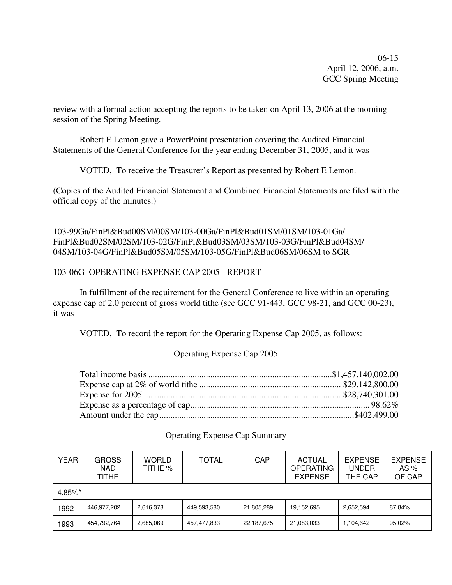06-15 April 12, 2006, a.m. GCC Spring Meeting

review with a formal action accepting the reports to be taken on April 13, 2006 at the morning session of the Spring Meeting.

Robert E Lemon gave a PowerPoint presentation covering the Audited Financial Statements of the General Conference for the year ending December 31, 2005, and it was

VOTED, To receive the Treasurer's Report as presented by Robert E Lemon.

(Copies of the Audited Financial Statement and Combined Financial Statements are filed with the official copy of the minutes.)

103-99Ga/FinPl&Bud00SM/00SM/103-00Ga/FinPl&Bud01SM/01SM/103-01Ga/ FinPl&Bud02SM/02SM/103-02G/FinPl&Bud03SM/03SM/103-03G/FinPl&Bud04SM/ 04SM/103-04G/FinPl&Bud05SM/05SM/103-05G/FinPl&Bud06SM/06SM to SGR

## 103-06G OPERATING EXPENSE CAP 2005 - REPORT

In fulfillment of the requirement for the General Conference to live within an operating expense cap of 2.0 percent of gross world tithe (see GCC 91-443, GCC 98-21, and GCC 00-23), it was

VOTED, To record the report for the Operating Expense Cap 2005, as follows:

## Operating Expense Cap 2005

## Operating Expense Cap Summary

| <b>YEAR</b> | <b>GROSS</b><br>NAD.<br>TITHE | <b>WORLD</b><br>TITHE % | <b>TOTAL</b> | CAP        | <b>ACTUAL</b><br><b>OPERATING</b><br><b>EXPENSE</b> | <b>EXPENSE</b><br>UNDER<br>THE CAP | <b>EXPENSE</b><br>AS $%$<br>OF CAP |
|-------------|-------------------------------|-------------------------|--------------|------------|-----------------------------------------------------|------------------------------------|------------------------------------|
| 4.85%*      |                               |                         |              |            |                                                     |                                    |                                    |
| 1992        | 446,977,202                   | 2,616,378               | 449,593,580  | 21,805,289 | 19,152,695                                          | 2,652,594                          | 87.84%                             |
| 1993        | 454,792,764                   | 2,685,069               | 457,477,833  | 22,187,675 | 21,083,033                                          | 1,104,642                          | 95.02%                             |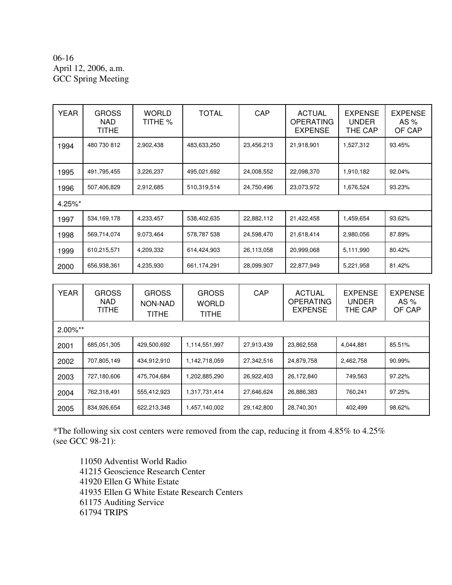## 06-16 April 12, 2006, a.m. GCC Spring Meeting

| YEAR       | <b>GROSS</b><br>NAD.<br>TITHE | <b>WORLD</b><br>TITHE % | <b>TOTAL</b> | CAP        | <b>ACTUAL</b><br><b>OPERATING</b><br><b>EXPENSE</b> | <b>EXPENSE</b><br><b>UNDER</b><br>THE CAP | <b>EXPENSE</b><br>AS $%$<br>OF CAP |
|------------|-------------------------------|-------------------------|--------------|------------|-----------------------------------------------------|-------------------------------------------|------------------------------------|
| 1994       | 480 730 812                   | 2,902,438               | 483,633,250  | 23,456,213 | 21,918,901                                          | 1,527,312                                 | 93.45%                             |
| 1995       | 491,795,455                   | 3,226,237               | 495,021,692  | 24,008,552 | 22,098,370                                          | 1,910,182                                 | 92.04%                             |
| 1996       | 507,406,829                   | 2,912,685               | 510,319,514  | 24,750,496 | 23,073,972                                          | 1,676,524                                 | 93.23%                             |
| $4.25\%$ * |                               |                         |              |            |                                                     |                                           |                                    |
| 1997       | 534, 169, 178                 | 4,233,457               | 538,402,635  | 22,882,112 | 21,422,458                                          | 1,459,654                                 | 93.62%                             |
| 1998       | 569,714,074                   | 9,073,464               | 578,787 538  | 24,598,470 | 21,618,414                                          | 2,980,056                                 | 87.89%                             |
| 1999       | 610,215,571                   | 4,209,332               | 614,424,903  | 26,113,058 | 20,999,068                                          | 5,111,990                                 | 80.42%                             |
| 2000       | 656,938,361                   | 4,235,930               | 661,174,291  | 28,099,907 | 22,877,949                                          | 5,221,958                                 | 81.42%                             |

| <b>YEAR</b> | <b>GROSS</b><br>NAD.<br><b>TITHE</b> | <b>GROSS</b><br>NON-NAD<br>TITHE | <b>GROSS</b><br><b>WORLD</b><br>TITHE | CAP        | <b>ACTUAL</b><br>OPERATING<br><b>EXPENSE</b> | <b>EXPENSE</b><br><b>UNDER</b><br>THE CAP | <b>EXPENSE</b><br>AS $%$<br>OF CAP |
|-------------|--------------------------------------|----------------------------------|---------------------------------------|------------|----------------------------------------------|-------------------------------------------|------------------------------------|
| $2.00\%$ ** |                                      |                                  |                                       |            |                                              |                                           |                                    |
| 2001        | 685,051,305                          | 429,500,692                      | 1,114,551,997                         | 27,913,439 | 23,862,558                                   | 4,044,881                                 | 85.51%                             |
| 2002        | 707,805,149                          | 434,912,910                      | 1,142,718,059                         | 27,342,516 | 24,879,758                                   | 2,462,758                                 | 90.99%                             |
| 2003        | 727,180,606                          | 475,704,684                      | 1,202,885,290                         | 26,922,403 | 26,172,840                                   | 749,563                                   | 97.22%                             |
| 2004        | 762,318,491                          | 555,412,923                      | 1,317,731,414                         | 27,646,624 | 26,886,383                                   | 760.241                                   | 97.25%                             |
| 2005        | 834,926,654                          | 622,213,348                      | 1,457,140,002                         | 29,142,800 | 28,740,301                                   | 402,499                                   | 98.62%                             |

\*The following six cost centers were removed from the cap, reducing it from 4.85% to 4.25% (see GCC 98-21):

 Adventist World Radio Geoscience Research Center Ellen G White Estate Ellen G White Estate Research Centers Auditing Service 61794 TRIPS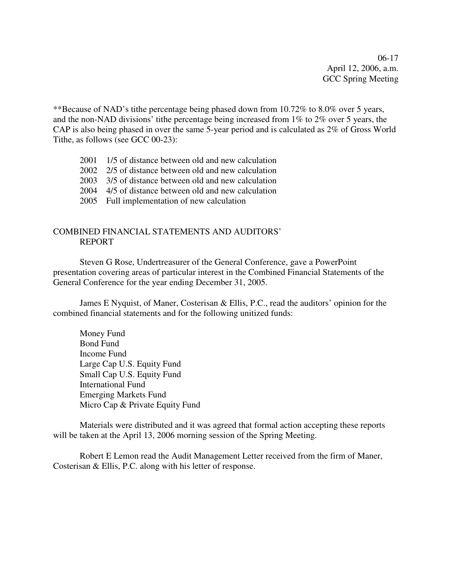06-17 April 12, 2006, a.m. GCC Spring Meeting

\*\*Because of NAD's tithe percentage being phased down from 10.72% to 8.0% over 5 years, and the non-NAD divisions' tithe percentage being increased from 1% to 2% over 5 years, the CAP is also being phased in over the same 5-year period and is calculated as 2% of Gross World Tithe, as follows (see GCC 00-23):

- 2001 1/5 of distance between old and new calculation
- 2002 2/5 of distance between old and new calculation
- 2003 3/5 of distance between old and new calculation
- 2004 4/5 of distance between old and new calculation
- 2005 Full implementation of new calculation

## COMBINED FINANCIAL STATEMENTS AND AUDITORS' REPORT

Steven G Rose, Undertreasurer of the General Conference, gave a PowerPoint presentation covering areas of particular interest in the Combined Financial Statements of the General Conference for the year ending December 31, 2005.

James E Nyquist, of Maner, Costerisan & Ellis, P.C., read the auditors' opinion for the combined financial statements and for the following unitized funds:

Money Fund Bond Fund Income Fund Large Cap U.S. Equity Fund Small Cap U.S. Equity Fund International Fund Emerging Markets Fund Micro Cap & Private Equity Fund

Materials were distributed and it was agreed that formal action accepting these reports will be taken at the April 13, 2006 morning session of the Spring Meeting.

Robert E Lemon read the Audit Management Letter received from the firm of Maner, Costerisan & Ellis, P.C. along with his letter of response.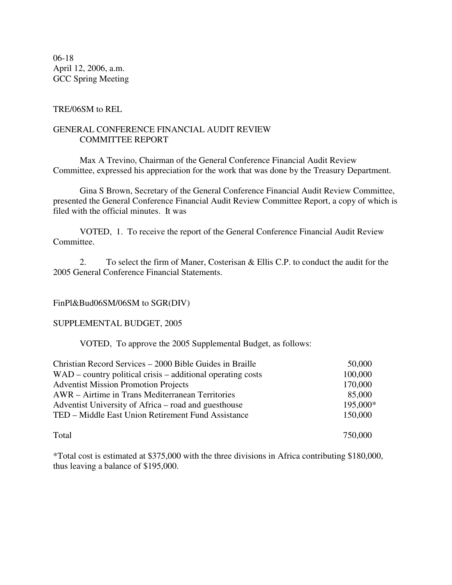06-18 April 12, 2006, a.m. GCC Spring Meeting

## TRE/06SM to REL

## GENERAL CONFERENCE FINANCIAL AUDIT REVIEW COMMITTEE REPORT

Max A Trevino, Chairman of the General Conference Financial Audit Review Committee, expressed his appreciation for the work that was done by the Treasury Department.

Gina S Brown, Secretary of the General Conference Financial Audit Review Committee, presented the General Conference Financial Audit Review Committee Report, a copy of which is filed with the official minutes. It was

VOTED, 1. To receive the report of the General Conference Financial Audit Review Committee.

2. To select the firm of Maner, Costerisan & Ellis C.P. to conduct the audit for the 2005 General Conference Financial Statements.

## FinPl&Bud06SM/06SM to SGR(DIV)

SUPPLEMENTAL BUDGET, 2005

VOTED, To approve the 2005 Supplemental Budget, as follows:

| Christian Record Services – 2000 Bible Guides in Braille      | 50,000   |
|---------------------------------------------------------------|----------|
| $WAD$ – country political crisis – additional operating costs | 100,000  |
| <b>Adventist Mission Promotion Projects</b>                   | 170,000  |
| AWR – Airtime in Trans Mediterranean Territories              | 85,000   |
| Adventist University of Africa – road and guesthouse          | 195,000* |
| TED – Middle East Union Retirement Fund Assistance            | 150,000  |
|                                                               |          |

Total 750,000

\*Total cost is estimated at \$375,000 with the three divisions in Africa contributing \$180,000, thus leaving a balance of \$195,000.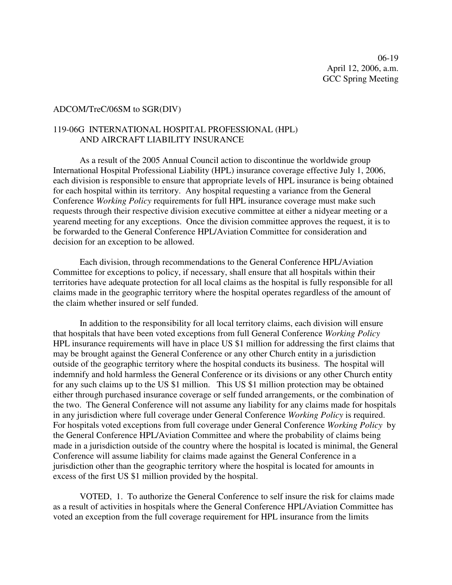### ADCOM/TreC/06SM to SGR(DIV)

## 119-06G INTERNATIONAL HOSPITAL PROFESSIONAL (HPL) AND AIRCRAFT LIABILITY INSURANCE

As a result of the 2005 Annual Council action to discontinue the worldwide group International Hospital Professional Liability (HPL) insurance coverage effective July 1, 2006, each division is responsible to ensure that appropriate levels of HPL insurance is being obtained for each hospital within its territory. Any hospital requesting a variance from the General Conference *Working Policy* requirements for full HPL insurance coverage must make such requests through their respective division executive committee at either a nidyear meeting or a yearend meeting for any exceptions. Once the division committee approves the request, it is to be forwarded to the General Conference HPL/Aviation Committee for consideration and decision for an exception to be allowed.

Each division, through recommendations to the General Conference HPL/Aviation Committee for exceptions to policy, if necessary, shall ensure that all hospitals within their territories have adequate protection for all local claims as the hospital is fully responsible for all claims made in the geographic territory where the hospital operates regardless of the amount of the claim whether insured or self funded.

In addition to the responsibility for all local territory claims, each division will ensure that hospitals that have been voted exceptions from full General Conference *Working Policy* HPL insurance requirements will have in place US \$1 million for addressing the first claims that may be brought against the General Conference or any other Church entity in a jurisdiction outside of the geographic territory where the hospital conducts its business. The hospital will indemnify and hold harmless the General Conference or its divisions or any other Church entity for any such claims up to the US \$1 million. This US \$1 million protection may be obtained either through purchased insurance coverage or self funded arrangements, or the combination of the two. The General Conference will not assume any liability for any claims made for hospitals in any jurisdiction where full coverage under General Conference *Working Policy* is required. For hospitals voted exceptions from full coverage under General Conference *Working Policy* by the General Conference HPL/Aviation Committee and where the probability of claims being made in a jurisdiction outside of the country where the hospital is located is minimal, the General Conference will assume liability for claims made against the General Conference in a jurisdiction other than the geographic territory where the hospital is located for amounts in excess of the first US \$1 million provided by the hospital.

VOTED, 1. To authorize the General Conference to self insure the risk for claims made as a result of activities in hospitals where the General Conference HPL/Aviation Committee has voted an exception from the full coverage requirement for HPL insurance from the limits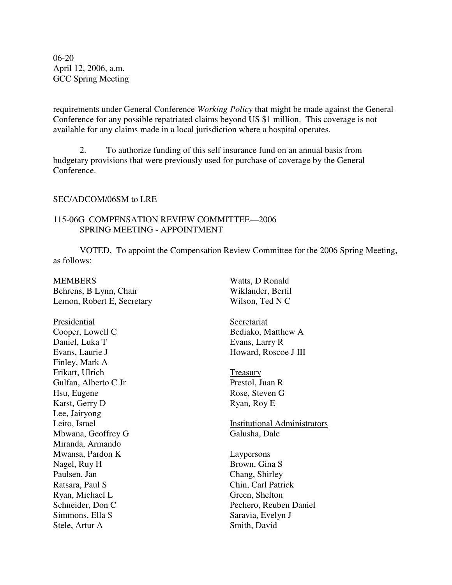06-20 April 12, 2006, a.m. GCC Spring Meeting

requirements under General Conference *Working Policy* that might be made against the General Conference for any possible repatriated claims beyond US \$1 million. This coverage is not available for any claims made in a local jurisdiction where a hospital operates.

2. To authorize funding of this self insurance fund on an annual basis from budgetary provisions that were previously used for purchase of coverage by the General Conference.

### SEC/ADCOM/06SM to LRE

## 115-06G COMPENSATION REVIEW COMMITTEE—2006 SPRING MEETING - APPOINTMENT

VOTED, To appoint the Compensation Review Committee for the 2006 Spring Meeting, as follows:

| MEMBERS                    |  |
|----------------------------|--|
| Behrens, B Lynn, Chair     |  |
| Lemon, Robert E, Secretary |  |

Presidential Cooper, Lowell C Daniel, Luka T Evans, Laurie J Finley, Mark A Frikart, Ulrich Gulfan, Alberto C Jr Hsu, Eugene Karst, Gerry D Lee, Jairyong Leito, Israel Mbwana, Geoffrey G Miranda, Armando Mwansa, Pardon K Nagel, Ruy H Paulsen, Jan Ratsara, Paul S Ryan, Michael L Schneider, Don C Simmons, Ella S Stele, Artur A

Watts, D Ronald Wiklander, Bertil Wilson, Ted N C

Secretariat Bediako, Matthew A Evans, Larry R Howard, Roscoe J III

Treasury Prestol, Juan R Rose, Steven G Ryan, Roy E

Institutional Administrators Galusha, Dale

Laypersons Brown, Gina S Chang, Shirley Chin, Carl Patrick Green, Shelton Pechero, Reuben Daniel Saravia, Evelyn J Smith, David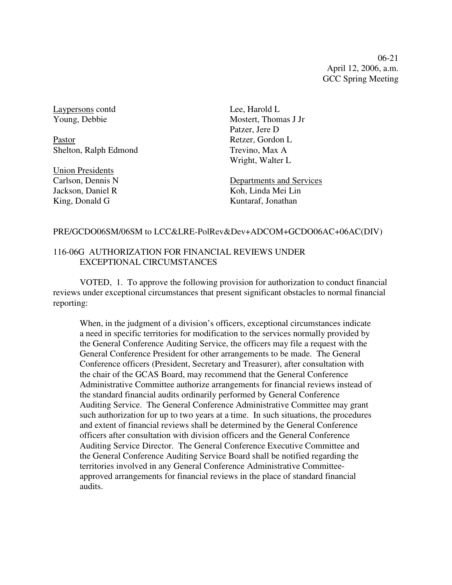06-21 April 12, 2006, a.m. GCC Spring Meeting

Laypersons contd Young, Debbie

Pastor Shelton, Ralph Edmond

Union Presidents Carlson, Dennis N Jackson, Daniel R King, Donald G

Lee, Harold L Mostert, Thomas J Jr Patzer, Jere D Retzer, Gordon L Trevino, Max A Wright, Walter L

Departments and Services Koh, Linda Mei Lin Kuntaraf, Jonathan

## PRE/GCDO06SM/06SM to LCC&LRE-PolRev&Dev+ADCOM+GCDO06AC+06AC(DIV)

## 116-06G AUTHORIZATION FOR FINANCIAL REVIEWS UNDER EXCEPTIONAL CIRCUMSTANCES

VOTED, 1. To approve the following provision for authorization to conduct financial reviews under exceptional circumstances that present significant obstacles to normal financial reporting:

When, in the judgment of a division's officers, exceptional circumstances indicate a need in specific territories for modification to the services normally provided by the General Conference Auditing Service, the officers may file a request with the General Conference President for other arrangements to be made. The General Conference officers (President, Secretary and Treasurer), after consultation with the chair of the GCAS Board, may recommend that the General Conference Administrative Committee authorize arrangements for financial reviews instead of the standard financial audits ordinarily performed by General Conference Auditing Service. The General Conference Administrative Committee may grant such authorization for up to two years at a time. In such situations, the procedures and extent of financial reviews shall be determined by the General Conference officers after consultation with division officers and the General Conference Auditing Service Director. The General Conference Executive Committee and the General Conference Auditing Service Board shall be notified regarding the territories involved in any General Conference Administrative Committeeapproved arrangements for financial reviews in the place of standard financial audits.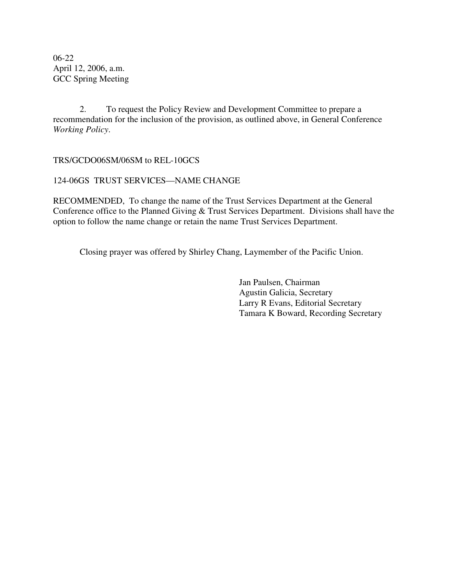06-22 April 12, 2006, a.m. GCC Spring Meeting

2. To request the Policy Review and Development Committee to prepare a recommendation for the inclusion of the provision, as outlined above, in General Conference *Working Policy*.

## TRS/GCDO06SM/06SM to REL-10GCS

## 124-06GS TRUST SERVICES—NAME CHANGE

RECOMMENDED, To change the name of the Trust Services Department at the General Conference office to the Planned Giving & Trust Services Department. Divisions shall have the option to follow the name change or retain the name Trust Services Department.

Closing prayer was offered by Shirley Chang, Laymember of the Pacific Union.

Jan Paulsen, Chairman Agustin Galicia, Secretary Larry R Evans, Editorial Secretary Tamara K Boward, Recording Secretary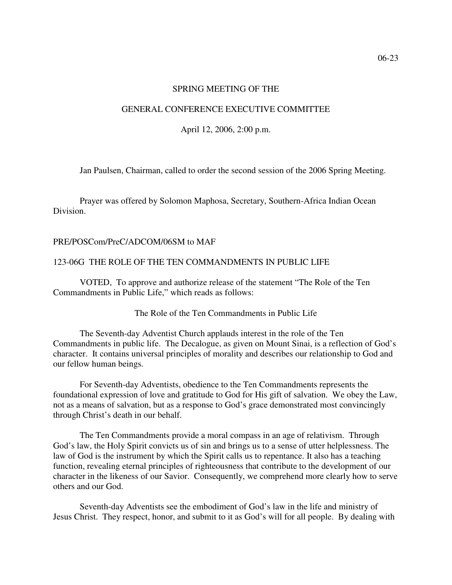#### SPRING MEETING OF THE

#### GENERAL CONFERENCE EXECUTIVE COMMITTEE

April 12, 2006, 2:00 p.m.

Jan Paulsen, Chairman, called to order the second session of the 2006 Spring Meeting.

Prayer was offered by Solomon Maphosa, Secretary, Southern-Africa Indian Ocean Division.

#### PRE/POSCom/PreC/ADCOM/06SM to MAF

#### 123-06G THE ROLE OF THE TEN COMMANDMENTS IN PUBLIC LIFE

VOTED, To approve and authorize release of the statement "The Role of the Ten Commandments in Public Life," which reads as follows:

The Role of the Ten Commandments in Public Life

The Seventh-day Adventist Church applauds interest in the role of the Ten Commandments in public life. The Decalogue, as given on Mount Sinai, is a reflection of God's character. It contains universal principles of morality and describes our relationship to God and our fellow human beings.

For Seventh-day Adventists, obedience to the Ten Commandments represents the foundational expression of love and gratitude to God for His gift of salvation. We obey the Law, not as a means of salvation, but as a response to God's grace demonstrated most convincingly through Christ's death in our behalf.

The Ten Commandments provide a moral compass in an age of relativism. Through God's law, the Holy Spirit convicts us of sin and brings us to a sense of utter helplessness. The law of God is the instrument by which the Spirit calls us to repentance. It also has a teaching function, revealing eternal principles of righteousness that contribute to the development of our character in the likeness of our Savior. Consequently, we comprehend more clearly how to serve others and our God.

Seventh-day Adventists see the embodiment of God's law in the life and ministry of Jesus Christ. They respect, honor, and submit to it as God's will for all people. By dealing with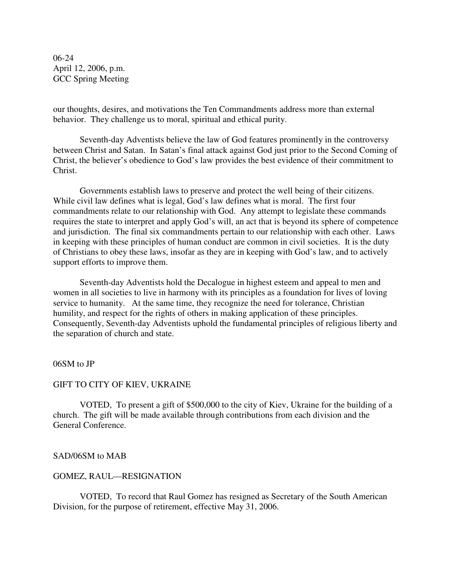06-24 April 12, 2006, p.m. GCC Spring Meeting

our thoughts, desires, and motivations the Ten Commandments address more than external behavior. They challenge us to moral, spiritual and ethical purity.

Seventh-day Adventists believe the law of God features prominently in the controversy between Christ and Satan. In Satan's final attack against God just prior to the Second Coming of Christ, the believer's obedience to God's law provides the best evidence of their commitment to Christ.

Governments establish laws to preserve and protect the well being of their citizens. While civil law defines what is legal, God's law defines what is moral. The first four commandments relate to our relationship with God. Any attempt to legislate these commands requires the state to interpret and apply God's will, an act that is beyond its sphere of competence and jurisdiction. The final six commandments pertain to our relationship with each other. Laws in keeping with these principles of human conduct are common in civil societies. It is the duty of Christians to obey these laws, insofar as they are in keeping with God's law, and to actively support efforts to improve them.

Seventh-day Adventists hold the Decalogue in highest esteem and appeal to men and women in all societies to live in harmony with its principles as a foundation for lives of loving service to humanity. At the same time, they recognize the need for tolerance, Christian humility, and respect for the rights of others in making application of these principles. Consequently, Seventh-day Adventists uphold the fundamental principles of religious liberty and the separation of church and state.

#### 06SM to JP

### GIFT TO CITY OF KIEV, UKRAINE

VOTED, To present a gift of \$500,000 to the city of Kiev, Ukraine for the building of a church. The gift will be made available through contributions from each division and the General Conference.

### SAD/06SM to MAB

#### GOMEZ, RAUL—RESIGNATION

VOTED, To record that Raul Gomez has resigned as Secretary of the South American Division, for the purpose of retirement, effective May 31, 2006.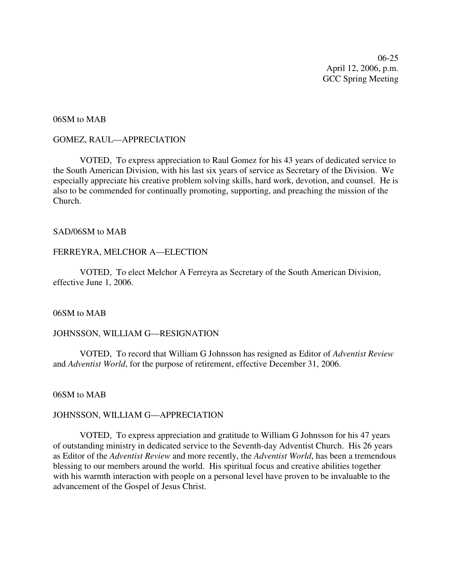06-25 April 12, 2006, p.m. GCC Spring Meeting

## 06SM to MAB

#### GOMEZ, RAUL—APPRECIATION

VOTED, To express appreciation to Raul Gomez for his 43 years of dedicated service to the South American Division, with his last six years of service as Secretary of the Division. We especially appreciate his creative problem solving skills, hard work, devotion, and counsel. He is also to be commended for continually promoting, supporting, and preaching the mission of the Church.

## SAD/06SM to MAB

#### FERREYRA, MELCHOR A—ELECTION

VOTED, To elect Melchor A Ferreyra as Secretary of the South American Division, effective June 1, 2006.

06SM to MAB

#### JOHNSSON, WILLIAM G—RESIGNATION

VOTED, To record that William G Johnsson has resigned as Editor of *Adventist Review* and *Adventist World*, for the purpose of retirement, effective December 31, 2006.

06SM to MAB

## JOHNSSON, WILLIAM G—APPRECIATION

VOTED, To express appreciation and gratitude to William G Johnsson for his 47 years of outstanding ministry in dedicated service to the Seventh-day Adventist Church. His 26 years as Editor of the *Adventist Review* and more recently, the *Adventist World*, has been a tremendous blessing to our members around the world. His spiritual focus and creative abilities together with his warmth interaction with people on a personal level have proven to be invaluable to the advancement of the Gospel of Jesus Christ.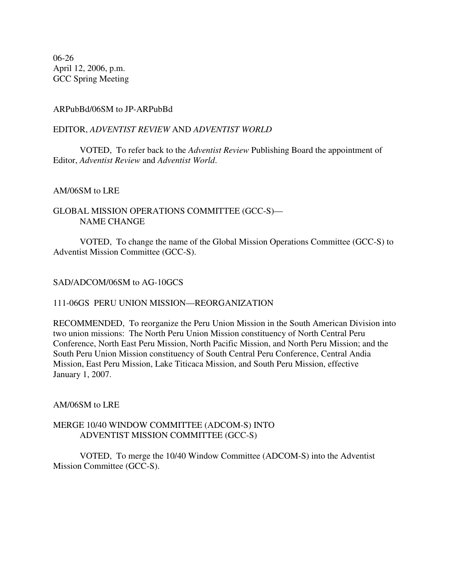06-26 April 12, 2006, p.m. GCC Spring Meeting

## ARPubBd/06SM to JP-ARPubBd

## EDITOR, *ADVENTIST REVIEW* AND *ADVENTIST WORLD*

VOTED, To refer back to the *Adventist Review* Publishing Board the appointment of Editor, *Adventist Review* and *Adventist World*.

## AM/06SM to LRE

## GLOBAL MISSION OPERATIONS COMMITTEE (GCC-S)— NAME CHANGE

VOTED, To change the name of the Global Mission Operations Committee (GCC-S) to Adventist Mission Committee (GCC-S).

## SAD/ADCOM/06SM to AG-10GCS

### 111-06GS PERU UNION MISSION—REORGANIZATION

RECOMMENDED, To reorganize the Peru Union Mission in the South American Division into two union missions: The North Peru Union Mission constituency of North Central Peru Conference, North East Peru Mission, North Pacific Mission, and North Peru Mission; and the South Peru Union Mission constituency of South Central Peru Conference, Central Andia Mission, East Peru Mission, Lake Titicaca Mission, and South Peru Mission, effective January 1, 2007.

## AM/06SM to LRE

## MERGE 10/40 WINDOW COMMITTEE (ADCOM-S) INTO ADVENTIST MISSION COMMITTEE (GCC-S)

VOTED, To merge the 10/40 Window Committee (ADCOM-S) into the Adventist Mission Committee (GCC-S).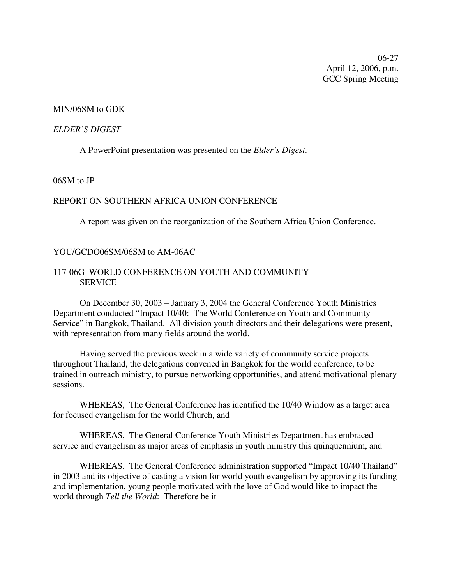06-27 April 12, 2006, p.m. GCC Spring Meeting

### MIN/06SM to GDK

#### *ELDER'S DIGEST*

A PowerPoint presentation was presented on the *Elder's Digest*.

## 06SM to JP

### REPORT ON SOUTHERN AFRICA UNION CONFERENCE

A report was given on the reorganization of the Southern Africa Union Conference.

#### YOU/GCDO06SM/06SM to AM-06AC

## 117-06G WORLD CONFERENCE ON YOUTH AND COMMUNITY SERVICE

On December 30, 2003 – January 3, 2004 the General Conference Youth Ministries Department conducted "Impact 10/40: The World Conference on Youth and Community Service" in Bangkok, Thailand. All division youth directors and their delegations were present, with representation from many fields around the world.

Having served the previous week in a wide variety of community service projects throughout Thailand, the delegations convened in Bangkok for the world conference, to be trained in outreach ministry, to pursue networking opportunities, and attend motivational plenary sessions.

WHEREAS, The General Conference has identified the 10/40 Window as a target area for focused evangelism for the world Church, and

WHEREAS, The General Conference Youth Ministries Department has embraced service and evangelism as major areas of emphasis in youth ministry this quinquennium, and

WHEREAS, The General Conference administration supported "Impact 10/40 Thailand" in 2003 and its objective of casting a vision for world youth evangelism by approving its funding and implementation, young people motivated with the love of God would like to impact the world through *Tell the World*: Therefore be it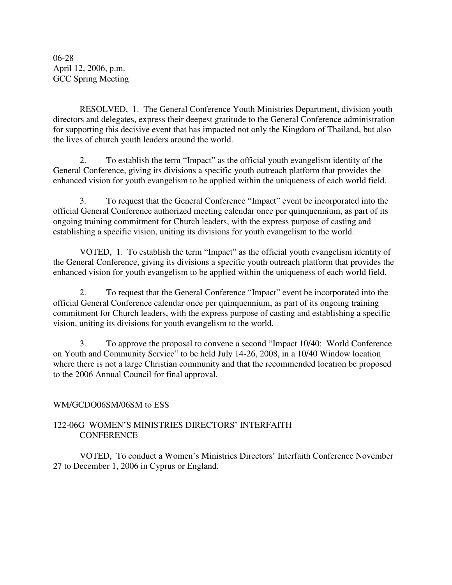06-28 April 12, 2006, p.m. GCC Spring Meeting

RESOLVED, 1. The General Conference Youth Ministries Department, division youth directors and delegates, express their deepest gratitude to the General Conference administration for supporting this decisive event that has impacted not only the Kingdom of Thailand, but also the lives of church youth leaders around the world.

2. To establish the term "Impact" as the official youth evangelism identity of the General Conference, giving its divisions a specific youth outreach platform that provides the enhanced vision for youth evangelism to be applied within the uniqueness of each world field.

3. To request that the General Conference "Impact" event be incorporated into the official General Conference authorized meeting calendar once per quinquennium, as part of its ongoing training commitment for Church leaders, with the express purpose of casting and establishing a specific vision, uniting its divisions for youth evangelism to the world.

VOTED, 1. To establish the term "Impact" as the official youth evangelism identity of the General Conference, giving its divisions a specific youth outreach platform that provides the enhanced vision for youth evangelism to be applied within the uniqueness of each world field.

2. To request that the General Conference "Impact" event be incorporated into the official General Conference calendar once per quinquennium, as part of its ongoing training commitment for Church leaders, with the express purpose of casting and establishing a specific vision, uniting its divisions for youth evangelism to the world.

3. To approve the proposal to convene a second "Impact 10/40: World Conference on Youth and Community Service" to be held July 14-26, 2008, in a 10/40 Window location where there is not a large Christian community and that the recommended location be proposed to the 2006 Annual Council for final approval.

## WM/GCDO06SM/06SM to ESS

## 122-06G WOMEN'S MINISTRIES DIRECTORS' INTERFAITH **CONFERENCE**

VOTED, To conduct a Women's Ministries Directors' Interfaith Conference November 27 to December 1, 2006 in Cyprus or England.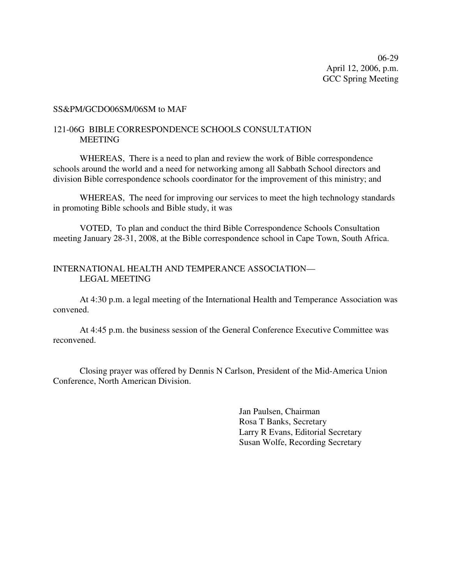06-29 April 12, 2006, p.m. GCC Spring Meeting

#### SS&PM/GCDO06SM/06SM to MAF

## 121-06G BIBLE CORRESPONDENCE SCHOOLS CONSULTATION MEETING

WHEREAS, There is a need to plan and review the work of Bible correspondence schools around the world and a need for networking among all Sabbath School directors and division Bible correspondence schools coordinator for the improvement of this ministry; and

WHEREAS, The need for improving our services to meet the high technology standards in promoting Bible schools and Bible study, it was

VOTED, To plan and conduct the third Bible Correspondence Schools Consultation meeting January 28-31, 2008, at the Bible correspondence school in Cape Town, South Africa.

## INTERNATIONAL HEALTH AND TEMPERANCE ASSOCIATION— LEGAL MEETING

At 4:30 p.m. a legal meeting of the International Health and Temperance Association was convened.

At 4:45 p.m. the business session of the General Conference Executive Committee was reconvened.

Closing prayer was offered by Dennis N Carlson, President of the Mid-America Union Conference, North American Division.

> Jan Paulsen, Chairman Rosa T Banks, Secretary Larry R Evans, Editorial Secretary Susan Wolfe, Recording Secretary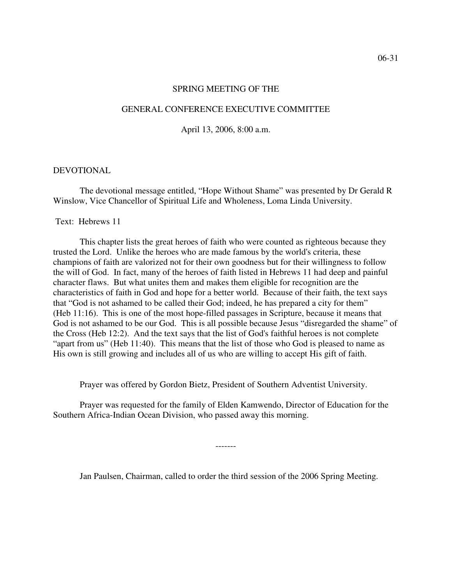#### SPRING MEETING OF THE

#### GENERAL CONFERENCE EXECUTIVE COMMITTEE

April 13, 2006, 8:00 a.m.

#### DEVOTIONAL

The devotional message entitled, "Hope Without Shame" was presented by Dr Gerald R Winslow, Vice Chancellor of Spiritual Life and Wholeness, Loma Linda University.

#### Text: Hebrews 11

This chapter lists the great heroes of faith who were counted as righteous because they trusted the Lord. Unlike the heroes who are made famous by the world's criteria, these champions of faith are valorized not for their own goodness but for their willingness to follow the will of God. In fact, many of the heroes of faith listed in Hebrews 11 had deep and painful character flaws. But what unites them and makes them eligible for recognition are the characteristics of faith in God and hope for a better world. Because of their faith, the text says that "God is not ashamed to be called their God; indeed, he has prepared a city for them" (Heb 11:16). This is one of the most hope-filled passages in Scripture, because it means that God is not ashamed to be our God. This is all possible because Jesus "disregarded the shame" of the Cross (Heb 12:2). And the text says that the list of God's faithful heroes is not complete "apart from us" (Heb 11:40). This means that the list of those who God is pleased to name as His own is still growing and includes all of us who are willing to accept His gift of faith.

Prayer was offered by Gordon Bietz, President of Southern Adventist University.

Prayer was requested for the family of Elden Kamwendo, Director of Education for the Southern Africa-Indian Ocean Division, who passed away this morning.

Jan Paulsen, Chairman, called to order the third session of the 2006 Spring Meeting.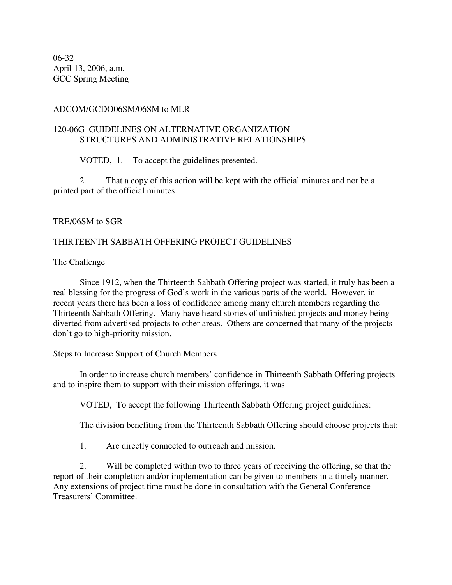06-32 April 13, 2006, a.m. GCC Spring Meeting

## ADCOM/GCDO06SM/06SM to MLR

## 120-06G GUIDELINES ON ALTERNATIVE ORGANIZATION STRUCTURES AND ADMINISTRATIVE RELATIONSHIPS

VOTED, 1. To accept the guidelines presented.

2. That a copy of this action will be kept with the official minutes and not be a printed part of the official minutes.

## TRE/06SM to SGR

## THIRTEENTH SABBATH OFFERING PROJECT GUIDELINES

The Challenge

Since 1912, when the Thirteenth Sabbath Offering project was started, it truly has been a real blessing for the progress of God's work in the various parts of the world. However, in recent years there has been a loss of confidence among many church members regarding the Thirteenth Sabbath Offering. Many have heard stories of unfinished projects and money being diverted from advertised projects to other areas. Others are concerned that many of the projects don't go to high-priority mission.

Steps to Increase Support of Church Members

In order to increase church members' confidence in Thirteenth Sabbath Offering projects and to inspire them to support with their mission offerings, it was

VOTED, To accept the following Thirteenth Sabbath Offering project guidelines:

The division benefiting from the Thirteenth Sabbath Offering should choose projects that:

1. Are directly connected to outreach and mission.

2. Will be completed within two to three years of receiving the offering, so that the report of their completion and/or implementation can be given to members in a timely manner. Any extensions of project time must be done in consultation with the General Conference Treasurers' Committee.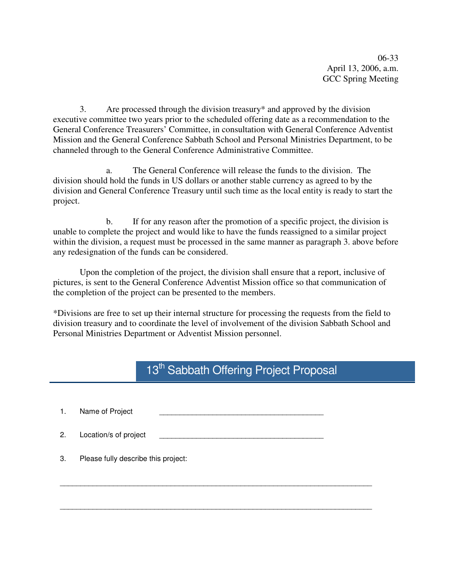06-33 April 13, 2006, a.m. GCC Spring Meeting

3. Are processed through the division treasury\* and approved by the division executive committee two years prior to the scheduled offering date as a recommendation to the General Conference Treasurers' Committee, in consultation with General Conference Adventist Mission and the General Conference Sabbath School and Personal Ministries Department, to be channeled through to the General Conference Administrative Committee.

a. The General Conference will release the funds to the division. The division should hold the funds in US dollars or another stable currency as agreed to by the division and General Conference Treasury until such time as the local entity is ready to start the project.

b. If for any reason after the promotion of a specific project, the division is unable to complete the project and would like to have the funds reassigned to a similar project within the division, a request must be processed in the same manner as paragraph 3. above before any redesignation of the funds can be considered.

Upon the completion of the project, the division shall ensure that a report, inclusive of pictures, is sent to the General Conference Adventist Mission office so that communication of the completion of the project can be presented to the members.

\*Divisions are free to set up their internal structure for processing the requests from the field to division treasury and to coordinate the level of involvement of the division Sabbath School and Personal Ministries Department or Adventist Mission personnel.

# 13<sup>th</sup> Sabbath Offering Project Proposal

| 1. | Name of Project                     |  |
|----|-------------------------------------|--|
| 2. | Location/s of project               |  |
| 3. | Please fully describe this project: |  |
|    |                                     |  |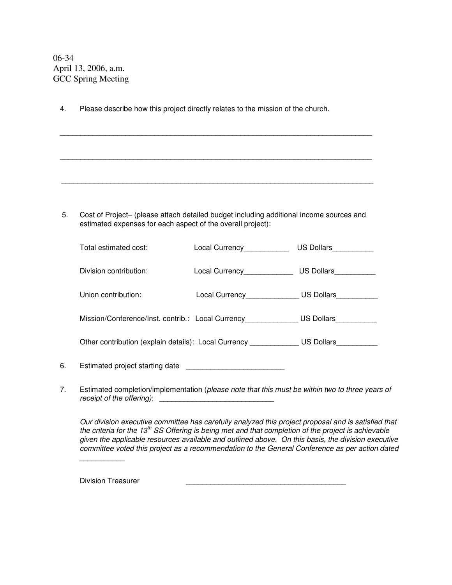06-34 April 13, 2006, a.m. GCC Spring Meeting

| 4.             | Please describe how this project directly relates to the mission of the church.                                                                        |                                                              |  |  |  |  |  |
|----------------|--------------------------------------------------------------------------------------------------------------------------------------------------------|--------------------------------------------------------------|--|--|--|--|--|
|                | <u> 1989 - Johann Stoff, amerikansk politiker (d. 1989)</u>                                                                                            |                                                              |  |  |  |  |  |
|                | ,我们也不能在这里的人,我们也不能在这里的人,我们也不能在这里的人,我们也不能在这里的人,我们也不能在这里的人,我们也不能在这里的人,我们也不能在这里的人,我们也                                                                      |                                                              |  |  |  |  |  |
|                | ,我们的人们就会在这里的人们,我们也不会在这里的人们,我们也不会在这里的人们,我们也不会在这里的人们,我们也不会在这里的人们,我们也不会在这里的人们,我们也不会                                                                       |                                                              |  |  |  |  |  |
| 5.             | Cost of Project- (please attach detailed budget including additional income sources and<br>estimated expenses for each aspect of the overall project): |                                                              |  |  |  |  |  |
|                | Total estimated cost:                                                                                                                                  | Local Currency___________________US Dollars______________    |  |  |  |  |  |
|                | Division contribution:                                                                                                                                 | Local Currency______________________ US Dollars_____________ |  |  |  |  |  |
|                | Union contribution:                                                                                                                                    | Local Currency_______________ US Dollars__________           |  |  |  |  |  |
|                | Mission/Conference/Inst. contrib.: Local Currency______________US Dollars________                                                                      |                                                              |  |  |  |  |  |
|                | Other contribution (explain details): Local Currency ____________ US Dollars__________                                                                 |                                                              |  |  |  |  |  |
| 6.             |                                                                                                                                                        |                                                              |  |  |  |  |  |
| 7 <sub>1</sub> | Estimated completion/implementation (please note that this must be within two to three years of                                                        |                                                              |  |  |  |  |  |

*receipt of the offering)*: \_\_\_\_\_\_\_\_\_\_\_\_\_\_\_\_\_\_\_\_\_\_\_\_\_\_\_\_

*Our division executive committee has carefully analyzed this project proposal and is satisfied that* the criteria for the 13<sup>th</sup> SS Offering is being met and that completion of the project is achievable *given the applicable resources available and outlined above. On this basis, the division executive committee voted this project as a recommendation to the General Conference as per action dated*

Division Treasurer

*\_\_\_\_\_\_\_\_\_\_\_*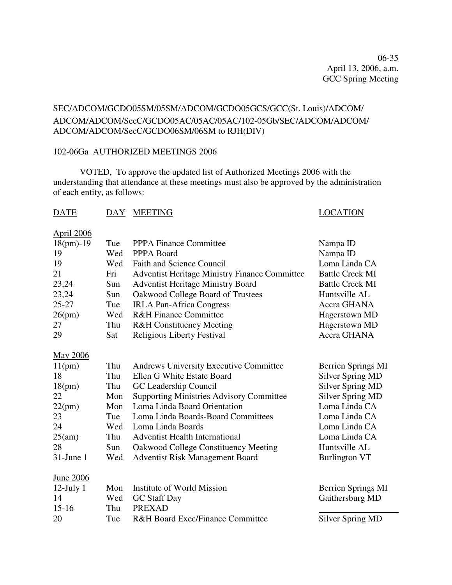06-35 April 13, 2006, a.m. GCC Spring Meeting

# SEC/ADCOM/GCDO05SM/05SM/ADCOM/GCDO05GCS/GCC(St. Louis)/ADCOM/ ADCOM/ADCOM/SecC/GCDO05AC/05AC/05AC/102-05Gb/SEC/ADCOM/ADCOM/ ADCOM/ADCOM/SecC/GCDO06SM/06SM to RJH(DIV)

## 102-06Ga AUTHORIZED MEETINGS 2006

VOTED, To approve the updated list of Authorized Meetings 2006 with the understanding that attendance at these meetings must also be approved by the administration of each entity, as follows:

## DATE DAY MEETING LOCATION

| <b>April 2006</b> |     |                                                      |                           |
|-------------------|-----|------------------------------------------------------|---------------------------|
| $18(pm)-19$       | Tue | <b>PPPA Finance Committee</b>                        | Nampa ID                  |
| 19                | Wed | PPPA Board                                           | Nampa ID                  |
| 19                | Wed | <b>Faith and Science Council</b>                     | Loma Linda CA             |
| 21                | Fri | <b>Adventist Heritage Ministry Finance Committee</b> | <b>Battle Creek MI</b>    |
| 23,24             | Sun | <b>Adventist Heritage Ministry Board</b>             | <b>Battle Creek MI</b>    |
| 23,24             | Sun | Oakwood College Board of Trustees                    | Huntsville AL             |
| $25 - 27$         | Tue | <b>IRLA Pan-Africa Congress</b>                      | Accra GHANA               |
| 26(pm)            | Wed | <b>R&amp;H Finance Committee</b>                     | Hagerstown MD             |
| 27                | Thu | <b>R&amp;H</b> Constituency Meeting                  | Hagerstown MD             |
| 29                | Sat | <b>Religious Liberty Festival</b>                    | Accra GHANA               |
| <b>May 2006</b>   |     |                                                      |                           |
| 11(pm)            | Thu | <b>Andrews University Executive Committee</b>        | <b>Berrien Springs MI</b> |
| 18                | Thu | Ellen G White Estate Board                           | <b>Silver Spring MD</b>   |
| 18(pm)            | Thu | GC Leadership Council                                | <b>Silver Spring MD</b>   |
| 22                | Mon | <b>Supporting Ministries Advisory Committee</b>      | <b>Silver Spring MD</b>   |
| 22(pm)            | Mon | Loma Linda Board Orientation                         | Loma Linda CA             |
| 23                | Tue | Loma Linda Boards-Board Committees                   | Loma Linda CA             |
| 24                | Wed | Loma Linda Boards                                    | Loma Linda CA             |
| 25(am)            | Thu | <b>Adventist Health International</b>                | Loma Linda CA             |
| 28                | Sun | Oakwood College Constituency Meeting                 | Huntsville AL             |
| $31$ -June 1      | Wed | Adventist Risk Management Board                      | <b>Burlington VT</b>      |
| <u>June 2006</u>  |     |                                                      |                           |
| $12$ -July $1$    | Mon | Institute of World Mission                           | <b>Berrien Springs MI</b> |
| 14                | Wed | <b>GC</b> Staff Day                                  | Gaithersburg MD           |
| $15 - 16$         | Thu | <b>PREXAD</b>                                        |                           |
| 20                | Tue | <b>R&amp;H Board Exec/Finance Committee</b>          | <b>Silver Spring MD</b>   |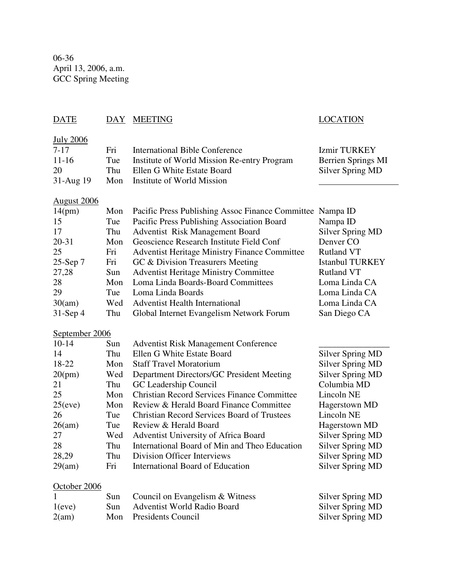06-36 April 13, 2006, a.m. GCC Spring Meeting

| <b>DATE</b>                                                                                                                | DAY                                                                                     | <b>MEETING</b>                                                                                                                                                                                                                                                                                                                                                                                                                                                                                                                       | <b>LOCATION</b>                                                                                                                                                                                                                                                               |
|----------------------------------------------------------------------------------------------------------------------------|-----------------------------------------------------------------------------------------|--------------------------------------------------------------------------------------------------------------------------------------------------------------------------------------------------------------------------------------------------------------------------------------------------------------------------------------------------------------------------------------------------------------------------------------------------------------------------------------------------------------------------------------|-------------------------------------------------------------------------------------------------------------------------------------------------------------------------------------------------------------------------------------------------------------------------------|
| <b>July 2006</b><br>$7 - 17$<br>$11 - 16$<br>20<br>31-Aug 19                                                               | Fri<br>Tue<br>Thu<br>Mon                                                                | <b>International Bible Conference</b><br>Institute of World Mission Re-entry Program<br>Ellen G White Estate Board<br>Institute of World Mission                                                                                                                                                                                                                                                                                                                                                                                     | <b>Izmir TURKEY</b><br><b>Berrien Springs MI</b><br><b>Silver Spring MD</b>                                                                                                                                                                                                   |
| <u>August 2006</u><br>14(pm)<br>15<br>17<br>$20 - 31$<br>25<br>25-Sep 7<br>27,28<br>28<br>29<br>30(am)<br>$31$ -Sep 4      | Mon<br>Tue<br>Thu<br>Mon<br>Fri<br>Fri<br>Sun<br>Mon<br>Tue<br>Wed<br>Thu               | Pacific Press Publishing Assoc Finance Committee Nampa ID<br>Pacific Press Publishing Association Board<br><b>Adventist Risk Management Board</b><br>Geoscience Research Institute Field Conf<br><b>Adventist Heritage Ministry Finance Committee</b><br>GC & Division Treasurers Meeting<br><b>Adventist Heritage Ministry Committee</b><br>Loma Linda Boards-Board Committees<br>Loma Linda Boards<br><b>Adventist Health International</b><br>Global Internet Evangelism Network Forum                                            | Nampa ID<br><b>Silver Spring MD</b><br>Denver CO<br><b>Rutland VT</b><br><b>Istanbul TURKEY</b><br><b>Rutland VT</b><br>Loma Linda CA<br>Loma Linda CA<br>Loma Linda CA<br>San Diego CA                                                                                       |
| September 2006<br>$10 - 14$<br>14<br>18-22<br>20(pm)<br>21<br>25<br>25(eve)<br>26<br>26(am)<br>27<br>28<br>28,29<br>29(am) | Sun<br>Thu<br>Mon<br>Wed<br>Thu<br>Mon<br>Mon<br>Tue<br>Tue<br>Wed<br>Thu<br>Thu<br>Fri | <b>Adventist Risk Management Conference</b><br>Ellen G White Estate Board<br><b>Staff Travel Moratorium</b><br>Department Directors/GC President Meeting<br>GC Leadership Council<br><b>Christian Record Services Finance Committee</b><br>Review & Herald Board Finance Committee<br><b>Christian Record Services Board of Trustees</b><br>Review & Herald Board<br>Adventist University of Africa Board<br>International Board of Min and Theo Education<br>Division Officer Interviews<br><b>International Board of Education</b> | <b>Silver Spring MD</b><br><b>Silver Spring MD</b><br><b>Silver Spring MD</b><br>Columbia MD<br>Lincoln NE<br><b>Hagerstown MD</b><br>Lincoln NE<br>Hagerstown MD<br><b>Silver Spring MD</b><br><b>Silver Spring MD</b><br><b>Silver Spring MD</b><br><b>Silver Spring MD</b> |
| October 2006<br>1(eve)<br>2(am)                                                                                            | Sun<br>Sun<br>Mon                                                                       | Council on Evangelism & Witness<br><b>Adventist World Radio Board</b><br>Presidents Council                                                                                                                                                                                                                                                                                                                                                                                                                                          | Silver Spring MD<br><b>Silver Spring MD</b><br><b>Silver Spring MD</b>                                                                                                                                                                                                        |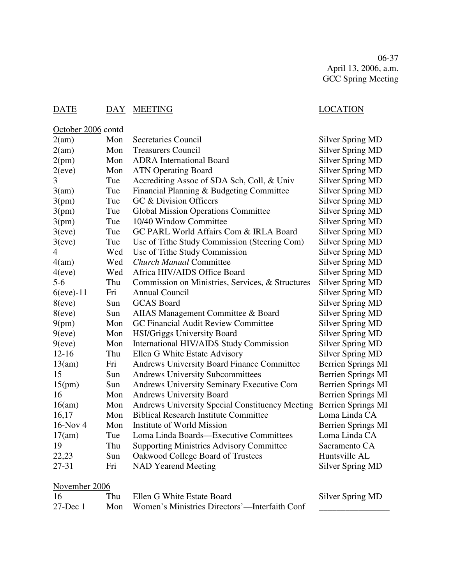06-37 April 13, 2006, a.m. GCC Spring Meeting

# DATE DAY MEETING LOCATION

| October 2006 contd |     |                                                        |                           |
|--------------------|-----|--------------------------------------------------------|---------------------------|
| 2(am)              | Mon | <b>Secretaries Council</b>                             | <b>Silver Spring MD</b>   |
| 2(am)              | Mon | <b>Treasurers Council</b>                              | <b>Silver Spring MD</b>   |
| 2(pm)              | Mon | <b>ADRA</b> International Board                        | <b>Silver Spring MD</b>   |
| 2(eve)             | Mon | <b>ATN Operating Board</b>                             | <b>Silver Spring MD</b>   |
| 3                  | Tue | Accrediting Assoc of SDA Sch, Coll, & Univ             | <b>Silver Spring MD</b>   |
| 3(am)              | Tue | Financial Planning & Budgeting Committee               | <b>Silver Spring MD</b>   |
| 3(pm)              | Tue | GC & Division Officers                                 | <b>Silver Spring MD</b>   |
| 3(pm)              | Tue | <b>Global Mission Operations Committee</b>             | <b>Silver Spring MD</b>   |
| 3(pm)              | Tue | 10/40 Window Committee                                 | <b>Silver Spring MD</b>   |
| 3(eve)             | Tue | GC PARL World Affairs Com & IRLA Board                 | <b>Silver Spring MD</b>   |
| 3(eve)             | Tue | Use of Tithe Study Commission (Steering Com)           | <b>Silver Spring MD</b>   |
| 4                  | Wed | Use of Tithe Study Commission                          | <b>Silver Spring MD</b>   |
| 4(am)              | Wed | <b>Church Manual Committee</b>                         | <b>Silver Spring MD</b>   |
| 4(eve)             | Wed | Africa HIV/AIDS Office Board                           | <b>Silver Spring MD</b>   |
| $5-6$              | Thu | Commission on Ministries, Services, & Structures       | <b>Silver Spring MD</b>   |
| $6$ (eve) $-11$    | Fri | Annual Council                                         | Silver Spring MD          |
| 8(eve)             | Sun | <b>GCAS</b> Board                                      | <b>Silver Spring MD</b>   |
| 8(eve)             | Sun | AIIAS Management Committee & Board                     | <b>Silver Spring MD</b>   |
| 9(pm)              | Mon | <b>GC Financial Audit Review Committee</b>             | <b>Silver Spring MD</b>   |
| 9(eve)             | Mon | <b>HSI/Griggs University Board</b>                     | <b>Silver Spring MD</b>   |
| 9(eve)             | Mon | International HIV/AIDS Study Commission                | <b>Silver Spring MD</b>   |
| $12 - 16$          | Thu | Ellen G White Estate Advisory                          | <b>Silver Spring MD</b>   |
| 13(am)             | Fri | <b>Andrews University Board Finance Committee</b>      | <b>Berrien Springs MI</b> |
| 15                 | Sun | <b>Andrews University Subcommittees</b>                | <b>Berrien Springs MI</b> |
| 15(pm)             | Sun | <b>Andrews University Seminary Executive Com</b>       | <b>Berrien Springs MI</b> |
| 16                 | Mon | <b>Andrews University Board</b>                        | <b>Berrien Springs MI</b> |
| 16(am)             | Mon | <b>Andrews University Special Constituency Meeting</b> | <b>Berrien Springs MI</b> |
| 16,17              | Mon | <b>Biblical Research Institute Committee</b>           | Loma Linda CA             |
| $16$ -Nov 4        | Mon | Institute of World Mission                             | <b>Berrien Springs MI</b> |
| 17(am)             | Tue | Loma Linda Boards—Executive Committees                 | Loma Linda CA             |
| 19                 | Thu | <b>Supporting Ministries Advisory Committee</b>        | Sacramento CA             |
| 22,23              | Sun | Oakwood College Board of Trustees                      | Huntsville AL             |
| 27-31              | Fri | <b>NAD Yearend Meeting</b>                             | <b>Silver Spring MD</b>   |
|                    |     |                                                        |                           |

# November 2006

| -16         | Thu Ellen G White Estate Board                    | Silver Spring MD |
|-------------|---------------------------------------------------|------------------|
| $27$ -Dec 1 | Mon Women's Ministries Directors'—Interfaith Conf |                  |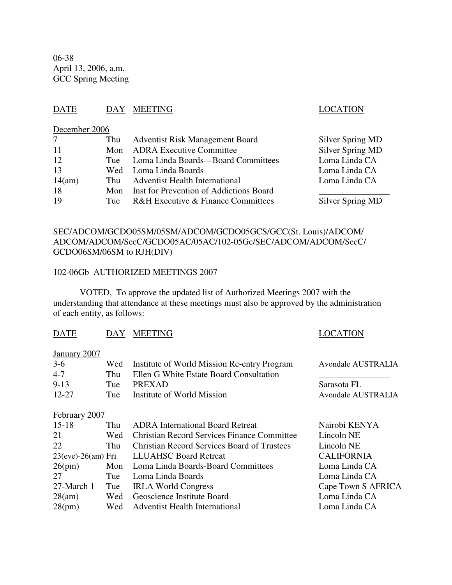06-38 April 13, 2006, a.m. GCC Spring Meeting

## DATE DAY MEETING LOCATION

## December 2006

| 7      |     | Thu Adventist Risk Management Board         | Silver Spring MD |
|--------|-----|---------------------------------------------|------------------|
| 11     |     | Mon ADRA Executive Committee                | Silver Spring MD |
| 12     |     | Tue Loma Linda Boards—Board Committees      | Loma Linda CA    |
| 13     |     | Wed Loma Linda Boards                       | Loma Linda CA    |
| 14(am) |     | Thu Adventist Health International          | Loma Linda CA    |
| 18     |     | Mon Inst for Prevention of Addictions Board |                  |
| 19     | Tue | R&H Executive & Finance Committees          | Silver Spring MD |

## SEC/ADCOM/GCDO05SM/05SM/ADCOM/GCDO05GCS/GCC(St. Louis)/ADCOM/ ADCOM/ADCOM/SecC/GCDO05AC/05AC/102-05Gc/SEC/ADCOM/ADCOM/SecC/ GCDO06SM/06SM to RJH(DIV)

## 102-06Gb AUTHORIZED MEETINGS 2007

VOTED, To approve the updated list of Authorized Meetings 2007 with the understanding that attendance at these meetings must also be approved by the administration of each entity, as follows:

## DATE DAY MEETING LOCATION

## January 2007

| $3-6$     |     | Wed Institute of World Mission Re-entry Program | Avondale AUSTRALIA |
|-----------|-----|-------------------------------------------------|--------------------|
| $4 - 7$   | Thu | Ellen G White Estate Board Consultation         |                    |
| $9 - 13$  | Tue | PREXAD                                          | Sarasota FL        |
| $12 - 27$ | Tue | Institute of World Mission                      | Avondale AUSTRALIA |

February 2007

| $15 - 18$  | Thu | <b>ADRA</b> International Board Retreat            | Nairobi KENYA      |
|------------|-----|----------------------------------------------------|--------------------|
| 21         | Wed | <b>Christian Record Services Finance Committee</b> | Lincoln NE         |
| 22         | Thu | <b>Christian Record Services Board of Trustees</b> | Lincoln NE         |
|            |     | 23(eve)-26(am) Fri LLUAHSC Board Retreat           | <b>CALIFORNIA</b>  |
| 26(pm)     |     | Mon Loma Linda Boards-Board Committees             | Loma Linda CA      |
| 27         | Tue | Loma Linda Boards                                  | Loma Linda CA      |
| 27-March 1 | Tue | <b>IRLA World Congress</b>                         | Cape Town S AFRICA |
| 28(am)     |     | Wed Geoscience Institute Board                     | Loma Linda CA      |
| 28(pm)     |     | Wed Adventist Health International                 | Loma Linda CA      |
|            |     |                                                    |                    |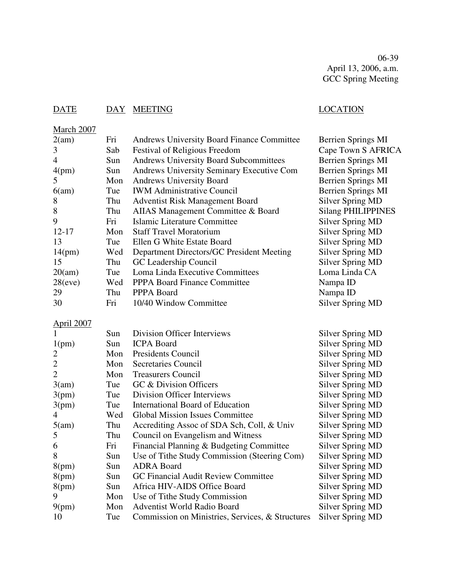06-39 April 13, 2006, a.m. GCC Spring Meeting

# DATE DAY MEETING LOCATION

| March 2007        |     |                                                   |                                                    |
|-------------------|-----|---------------------------------------------------|----------------------------------------------------|
| 2(am)             | Fri | <b>Andrews University Board Finance Committee</b> | Berrien Springs MI                                 |
| 3                 | Sab | Festival of Religious Freedom                     | Cape Town S AFRICA                                 |
| $\overline{4}$    | Sun | <b>Andrews University Board Subcommittees</b>     | <b>Berrien Springs MI</b>                          |
| 4(pm)             | Sun | Andrews University Seminary Executive Com         | <b>Berrien Springs MI</b>                          |
| 5                 | Mon | <b>Andrews University Board</b>                   | Berrien Springs MI                                 |
| 6(am)             | Tue | <b>IWM Administrative Council</b>                 | Berrien Springs MI                                 |
| 8                 | Thu | <b>Adventist Risk Management Board</b>            | <b>Silver Spring MD</b>                            |
| 8                 | Thu | AIIAS Management Committee & Board                | <b>Silang PHILIPPINES</b>                          |
| 9                 | Fri | Islamic Literature Committee                      | <b>Silver Spring MD</b>                            |
| $12 - 17$         | Mon | <b>Staff Travel Moratorium</b>                    | <b>Silver Spring MD</b>                            |
| 13                | Tue | Ellen G White Estate Board                        | Silver Spring MD                                   |
| 14(pm)            | Wed | Department Directors/GC President Meeting         | <b>Silver Spring MD</b>                            |
| 15                | Thu | GC Leadership Council                             | <b>Silver Spring MD</b>                            |
| 20(am)            | Tue | Loma Linda Executive Committees                   | Loma Linda CA                                      |
| 28(eve)           | Wed | <b>PPPA Board Finance Committee</b>               | Nampa ID                                           |
| 29                | Thu | PPPA Board                                        | Nampa ID                                           |
| 30                | Fri | 10/40 Window Committee                            | <b>Silver Spring MD</b>                            |
| <b>April 2007</b> |     |                                                   |                                                    |
|                   | Sun | <b>Division Officer Interviews</b>                | Silver Spring MD                                   |
| 1(pm)             | Sun | <b>ICPA Board</b>                                 | <b>Silver Spring MD</b>                            |
| $\overline{c}$    | Mon | <b>Presidents Council</b>                         | <b>Silver Spring MD</b>                            |
| $\overline{2}$    | Mon | <b>Secretaries Council</b>                        | <b>Silver Spring MD</b>                            |
| $\mathbf{2}$      | Mon | <b>Treasurers Council</b>                         | <b>Silver Spring MD</b>                            |
| 3(am)             | Tue | GC & Division Officers                            | <b>Silver Spring MD</b>                            |
| 3(pm)             | Tue | Division Officer Interviews                       | <b>Silver Spring MD</b>                            |
| 3(pm)             | Tue | International Board of Education                  | Silver Spring MD                                   |
| $\overline{4}$    | Wed | <b>Global Mission Issues Committee</b>            | <b>Silver Spring MD</b>                            |
| 5(am)             | Thu | Accrediting Assoc of SDA Sch, Coll, & Univ        | <b>Silver Spring MD</b>                            |
| 5                 | Thu | Council on Evangelism and Witness                 | <b>Silver Spring MD</b>                            |
| 6                 | Fri | Financial Planning & Budgeting Committee          | <b>Silver Spring MD</b>                            |
| 8                 | Sun | Use of Tithe Study Commission (Steering Com)      | <b>Silver Spring MD</b>                            |
|                   | Sun | <b>ADRA Board</b>                                 |                                                    |
| 8(pm)             |     | GC Financial Audit Review Committee               | Silver Spring MD                                   |
| 8(pm)             | Sun | Africa HIV-AIDS Office Board                      | <b>Silver Spring MD</b><br><b>Silver Spring MD</b> |
| 8(pm)             | Sun |                                                   |                                                    |
| 9                 | Mon | Use of Tithe Study Commission                     | <b>Silver Spring MD</b>                            |
| 9(pm)             | Mon | Adventist World Radio Board                       | <b>Silver Spring MD</b>                            |
| 10                | Tue | Commission on Ministries, Services, & Structures  | <b>Silver Spring MD</b>                            |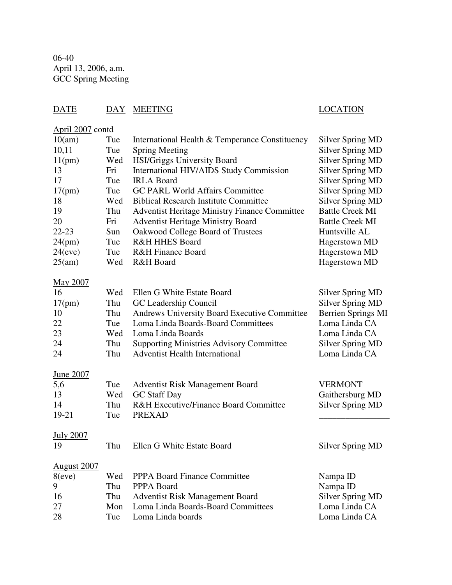06-40 April 13, 2006, a.m. GCC Spring Meeting

# DATE DAY MEETING LOCATION

# April 2007 contd

| 10(am)             | Tue | International Health & Temperance Constituency       | <b>Silver Spring MD</b>   |
|--------------------|-----|------------------------------------------------------|---------------------------|
| 10,11              | Tue | <b>Spring Meeting</b>                                | <b>Silver Spring MD</b>   |
| 11(pm)             | Wed | <b>HSI/Griggs University Board</b>                   | Silver Spring MD          |
| 13                 | Fri | International HIV/AIDS Study Commission              | <b>Silver Spring MD</b>   |
| 17                 | Tue | <b>IRLA Board</b>                                    | <b>Silver Spring MD</b>   |
| 17(pm)             | Tue | <b>GC PARL World Affairs Committee</b>               | Silver Spring MD          |
| 18                 | Wed | <b>Biblical Research Institute Committee</b>         | Silver Spring MD          |
| 19                 | Thu | <b>Adventist Heritage Ministry Finance Committee</b> | <b>Battle Creek MI</b>    |
| 20                 | Fri | <b>Adventist Heritage Ministry Board</b>             | <b>Battle Creek MI</b>    |
| $22 - 23$          | Sun | Oakwood College Board of Trustees                    | Huntsville AL             |
| 24(pm)             | Tue | R&H HHES Board                                       | Hagerstown MD             |
| 24(eve)            | Tue | <b>R&amp;H Finance Board</b>                         | Hagerstown MD             |
| 25(am)             | Wed | R&H Board                                            | Hagerstown MD             |
|                    |     |                                                      |                           |
| May 2007           |     |                                                      |                           |
| 16                 | Wed | Ellen G White Estate Board                           | <b>Silver Spring MD</b>   |
| 17(pm)             | Thu | GC Leadership Council                                | <b>Silver Spring MD</b>   |
| 10                 | Thu | <b>Andrews University Board Executive Committee</b>  | <b>Berrien Springs MI</b> |
| 22                 | Tue | Loma Linda Boards-Board Committees                   | Loma Linda CA             |
| 23                 | Wed | Loma Linda Boards                                    | Loma Linda CA             |
| 24                 | Thu | <b>Supporting Ministries Advisory Committee</b>      | Silver Spring MD          |
| 24                 | Thu | <b>Adventist Health International</b>                | Loma Linda CA             |
|                    |     |                                                      |                           |
| June 2007          |     |                                                      |                           |
| 5,6                | Tue | <b>Adventist Risk Management Board</b>               | <b>VERMONT</b>            |
| 13                 | Wed | <b>GC Staff Day</b>                                  | Gaithersburg MD           |
| 14                 | Thu | <b>R&amp;H Executive/Finance Board Committee</b>     | <b>Silver Spring MD</b>   |
| 19-21              | Tue | <b>PREXAD</b>                                        |                           |
|                    |     |                                                      |                           |
| <b>July 2007</b>   |     |                                                      |                           |
| 19                 | Thu | Ellen G White Estate Board                           | <b>Silver Spring MD</b>   |
|                    |     |                                                      |                           |
| <b>August 2007</b> |     |                                                      |                           |
| 8(eve)             | Wed | <b>PPPA Board Finance Committee</b>                  | Nampa ID                  |
| 9                  | Thu | PPPA Board                                           | Nampa ID                  |
| 16                 | Thu | <b>Adventist Risk Management Board</b>               | Silver Spring MD          |
| 27                 | Mon | Loma Linda Boards-Board Committees                   | Loma Linda CA             |
| 28                 | Tue | Loma Linda boards                                    | Loma Linda CA             |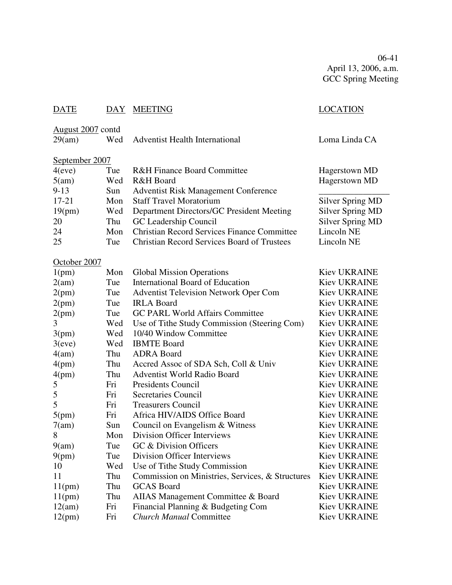06-41 April 13, 2006, a.m. GCC Spring Meeting

| <b>DATE</b>       |     | DAY MEETING                                        | <b>LOCATION</b>         |  |  |
|-------------------|-----|----------------------------------------------------|-------------------------|--|--|
| August 2007 contd |     |                                                    |                         |  |  |
| 29(am)            | Wed | <b>Adventist Health International</b>              | Loma Linda CA           |  |  |
|                   |     |                                                    |                         |  |  |
| September 2007    |     |                                                    |                         |  |  |
| 4(eve)            | Tue | <b>R&amp;H Finance Board Committee</b>             | <b>Hagerstown MD</b>    |  |  |
| 5(am)             | Wed | R&H Board                                          | Hagerstown MD           |  |  |
| $9 - 13$          | Sun | <b>Adventist Risk Management Conference</b>        |                         |  |  |
| $17 - 21$         | Mon | <b>Staff Travel Moratorium</b>                     | Silver Spring MD        |  |  |
| 19(pm)            | Wed | Department Directors/GC President Meeting          | <b>Silver Spring MD</b> |  |  |
| 20                | Thu | GC Leadership Council                              | <b>Silver Spring MD</b> |  |  |
| 24                | Mon | <b>Christian Record Services Finance Committee</b> | Lincoln NE              |  |  |
| 25                | Tue | <b>Christian Record Services Board of Trustees</b> | Lincoln NE              |  |  |
|                   |     |                                                    |                         |  |  |
| October 2007      |     |                                                    |                         |  |  |
| 1(pm)             | Mon | <b>Global Mission Operations</b>                   | <b>Kiev UKRAINE</b>     |  |  |
| 2(am)             | Tue | <b>International Board of Education</b>            | <b>Kiev UKRAINE</b>     |  |  |
| 2(pm)             | Tue | <b>Adventist Television Network Oper Com</b>       | <b>Kiev UKRAINE</b>     |  |  |
| 2(pm)             | Tue | <b>IRLA Board</b>                                  | <b>Kiev UKRAINE</b>     |  |  |
| 2(pm)             | Tue | <b>GC PARL World Affairs Committee</b>             | Kiev UKRAINE            |  |  |
| 3                 | Wed | Use of Tithe Study Commission (Steering Com)       | <b>Kiev UKRAINE</b>     |  |  |
| 3(pm)             | Wed | 10/40 Window Committee                             | <b>Kiev UKRAINE</b>     |  |  |
| 3(eve)            | Wed | <b>IBMTE Board</b>                                 | <b>Kiev UKRAINE</b>     |  |  |
| 4(am)             | Thu | <b>ADRA</b> Board                                  | Kiev UKRAINE            |  |  |
| 4(pm)             | Thu | Accred Assoc of SDA Sch, Coll & Univ               | <b>Kiev UKRAINE</b>     |  |  |
| 4(pm)             | Thu | <b>Adventist World Radio Board</b>                 | <b>Kiev UKRAINE</b>     |  |  |
| 5                 | Fri | <b>Presidents Council</b>                          | Kiev UKRAINE            |  |  |
| 5                 | Fri | Secretaries Council                                | <b>Kiev UKRAINE</b>     |  |  |
| 5                 | Fri | <b>Treasurers Council</b>                          | <b>Kiev UKRAINE</b>     |  |  |
| 5(pm)             | Fri | Africa HIV/AIDS Office Board                       | Kiev UKRAINE            |  |  |
| 7(am)             | Sun | Council on Evangelism & Witness                    | Kiev UKRAINE            |  |  |
| Õ                 | Mon | Division Officer Interviews                        | <b>Kiev UKRAINE</b>     |  |  |
| 9(am)             | Tue | GC & Division Officers                             | Kiev UKRAINE            |  |  |
| 9(pm)             | Tue | Division Officer Interviews                        | Kiev UKRAINE            |  |  |
| 10                | Wed | Use of Tithe Study Commission                      | <b>Kiev UKRAINE</b>     |  |  |
| 11                | Thu | Commission on Ministries, Services, & Structures   | <b>Kiev UKRAINE</b>     |  |  |
| 11(pm)            | Thu | <b>GCAS</b> Board                                  | <b>Kiev UKRAINE</b>     |  |  |
| 11(pm)            | Thu | AIIAS Management Committee & Board                 | Kiev UKRAINE            |  |  |
| 12(am)            | Fri | Financial Planning & Budgeting Com                 | Kiev UKRAINE            |  |  |
| 12(pm)            | Fri | <b>Church Manual Committee</b>                     | Kiev UKRAINE            |  |  |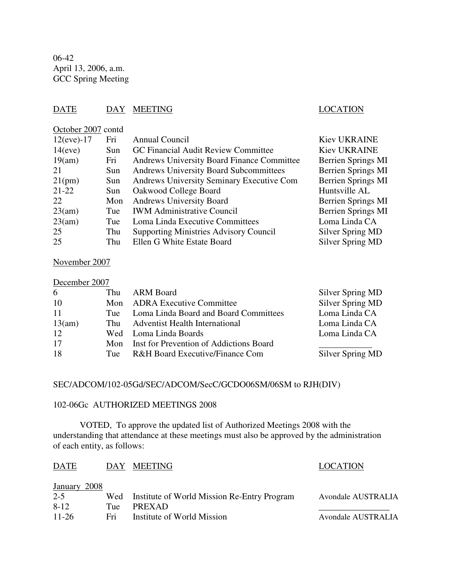06-42 April 13, 2006, a.m. GCC Spring Meeting

## DATE DAY MEETING SERVESTEED DAY AND DESCRIPTION

| October 2007 contd |      |                                                   |                           |
|--------------------|------|---------------------------------------------------|---------------------------|
| $12(eve) - 17$     | Fri  | Annual Council                                    | <b>Kiev UKRAINE</b>       |
| 14(eve)            | Sun  | GC Financial Audit Review Committee               | <b>Kiev UKRAINE</b>       |
| 19(am)             | Fri  | <b>Andrews University Board Finance Committee</b> | Berrien Springs MI        |
| 21                 | Sun. | <b>Andrews University Board Subcommittees</b>     | <b>Berrien Springs MI</b> |
| 21(pm)             | Sun  | Andrews University Seminary Executive Com         | <b>Berrien Springs MI</b> |
| $21 - 22$          | Sun. | Oakwood College Board                             | Huntsville AL             |
| 22.                | Mon  | <b>Andrews University Board</b>                   | Berrien Springs MI        |
| 23(am)             | Tue  | <b>IWM Administrative Council</b>                 | <b>Berrien Springs MI</b> |
| 23(am)             | Tue  | Loma Linda Executive Committees                   | Loma Linda CA             |
| 25                 | Thu  | <b>Supporting Ministries Advisory Council</b>     | Silver Spring MD          |
| 25                 | Thu  | Ellen G White Estate Board                        | Silver Spring MD          |
|                    |      |                                                   |                           |

## November 2007

|  | December 2007 |  |
|--|---------------|--|
|--|---------------|--|

| 6         |     | Thu ARM Board                               | Silver Spring MD |
|-----------|-----|---------------------------------------------|------------------|
| <b>10</b> |     | Mon ADRA Executive Committee                | Silver Spring MD |
| -11       | Tue | Loma Linda Board and Board Committees       | Loma Linda CA    |
| 13(am)    | Thu | <b>Adventist Health International</b>       | Loma Linda CA    |
| -12       |     | Wed Loma Linda Boards                       | Loma Linda CA    |
| -17       |     | Mon Inst for Prevention of Addictions Board |                  |
| -18       | Tue | R&H Board Executive/Finance Com             | Silver Spring MD |

## SEC/ADCOM/102-05Gd/SEC/ADCOM/SecC/GCDO06SM/06SM to RJH(DIV)

## 102-06Gc AUTHORIZED MEETINGS 2008

VOTED, To approve the updated list of Authorized Meetings 2008 with the understanding that attendance at these meetings must also be approved by the administration of each entity, as follows:

| <b>DATE</b>  | DAY | <b>MEETING</b>                                  | <b>LOCATION</b>    |
|--------------|-----|-------------------------------------------------|--------------------|
| January 2008 |     |                                                 |                    |
| $2 - 5$      |     | Wed Institute of World Mission Re-Entry Program | Avondale AUSTRALIA |
| $8-12$       | Tue | <b>PREXAD</b>                                   |                    |
| $11 - 26$    | Fri | Institute of World Mission                      | Avondale AUSTRALIA |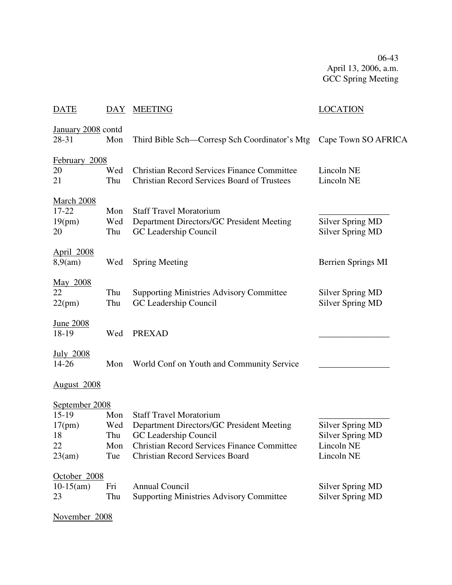06-43 April 13, 2006, a.m. GCC Spring Meeting

| <b>DATE</b>                                    | DAY               | <b>MEETING</b>                                                                                           | <b>LOCATION</b>                                    |
|------------------------------------------------|-------------------|----------------------------------------------------------------------------------------------------------|----------------------------------------------------|
| January 2008 contd<br>28-31                    | Mon               | Third Bible Sch—Corresp Sch Coordinator's Mtg                                                            | Cape Town SO AFRICA                                |
| February 2008<br>20<br>21                      | Wed<br>Thu        | <b>Christian Record Services Finance Committee</b><br><b>Christian Record Services Board of Trustees</b> | Lincoln NE<br>Lincoln NE                           |
| <b>March 2008</b><br>$17 - 22$<br>19(pm)<br>20 | Mon<br>Wed<br>Thu | <b>Staff Travel Moratorium</b><br>Department Directors/GC President Meeting<br>GC Leadership Council     | <b>Silver Spring MD</b><br><b>Silver Spring MD</b> |
| <b>April 2008</b><br>8,9(am)                   | Wed               | <b>Spring Meeting</b>                                                                                    | Berrien Springs MI                                 |
| May 2008<br>22<br>22(pm)                       | Thu<br>Thu        | <b>Supporting Ministries Advisory Committee</b><br>GC Leadership Council                                 | <b>Silver Spring MD</b><br><b>Silver Spring MD</b> |
| <u>June 2008</u><br>18-19                      | Wed               | <b>PREXAD</b>                                                                                            |                                                    |
| <u>July 2008</u><br>14-26                      | Mon               | World Conf on Youth and Community Service                                                                |                                                    |
| August 2008                                    |                   |                                                                                                          |                                                    |
| September 2008<br>$15-19$                      | Mon               | <b>Staff Travel Moratorium</b>                                                                           |                                                    |
| 17(pm)<br>18                                   | Wed<br>Thu        | Department Directors/GC President Meeting<br>GC Leadership Council                                       | <b>Silver Spring MD</b><br><b>Silver Spring MD</b> |
| 22<br>23(am)                                   | Mon<br>Tue        | <b>Christian Record Services Finance Committee</b><br><b>Christian Record Services Board</b>             | Lincoln NE<br>Lincoln NE                           |
| October 2008                                   |                   |                                                                                                          |                                                    |
| $10-15(am)$                                    | Fri               | Annual Council                                                                                           | Silver Spring MD                                   |
| 23                                             | Thu               | <b>Supporting Ministries Advisory Committee</b>                                                          | <b>Silver Spring MD</b>                            |
| November 2008                                  |                   |                                                                                                          |                                                    |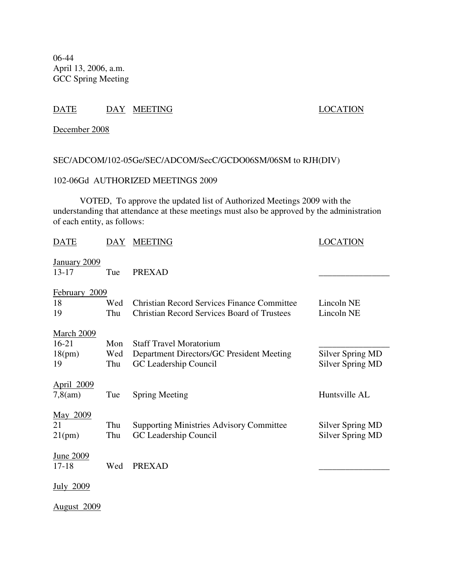06-44 April 13, 2006, a.m. GCC Spring Meeting

## DATE DAY MEETING LOCATION

December 2008

## SEC/ADCOM/102-05Ge/SEC/ADCOM/SecC/GCDO06SM/06SM to RJH(DIV)

## 102-06Gd AUTHORIZED MEETINGS 2009

VOTED, To approve the updated list of Authorized Meetings 2009 with the understanding that attendance at these meetings must also be approved by the administration of each entity, as follows:

| DATE                           | DAY | <b>MEETING</b>                                                           | LOCATION                                    |
|--------------------------------|-----|--------------------------------------------------------------------------|---------------------------------------------|
| January 2009<br>$13 - 17$      | Tue | <b>PREXAD</b>                                                            |                                             |
| February 2009                  |     |                                                                          |                                             |
| 18                             | Wed | <b>Christian Record Services Finance Committee</b>                       | Lincoln NE                                  |
| 19                             | Thu | <b>Christian Record Services Board of Trustees</b>                       | Lincoln NE                                  |
| <b>March 2009</b><br>$16 - 21$ | Mon | <b>Staff Travel Moratorium</b>                                           |                                             |
| 18(pm)                         | Wed | Department Directors/GC President Meeting                                | <b>Silver Spring MD</b>                     |
| 19                             | Thu | GC Leadership Council                                                    | Silver Spring MD                            |
| April 2009<br>$7,8$ (am)       | Tue | <b>Spring Meeting</b>                                                    | Huntsville AL                               |
| May 2009<br>21                 | Thu |                                                                          |                                             |
| 21(pm)                         | Thu | <b>Supporting Ministries Advisory Committee</b><br>GC Leadership Council | Silver Spring MD<br><b>Silver Spring MD</b> |
|                                |     |                                                                          |                                             |
| <u>June 2009</u><br>$17 - 18$  | Wed | <b>PREXAD</b>                                                            |                                             |
| <b>July 2009</b>               |     |                                                                          |                                             |
| <b>August 2009</b>             |     |                                                                          |                                             |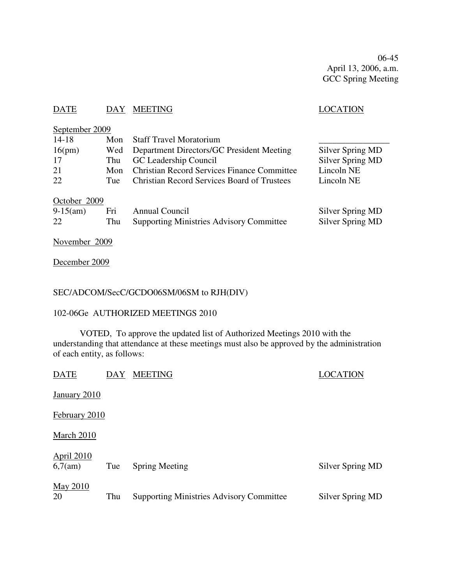06-45 April 13, 2006, a.m. GCC Spring Meeting

## DATE DAY MEETING SERVICES AND LOCATION

| September 2009 |     |                                                    |                         |
|----------------|-----|----------------------------------------------------|-------------------------|
| $14 - 18$      | Mon | <b>Staff Travel Moratorium</b>                     |                         |
| 16(pm)         | Wed | Department Directors/GC President Meeting          | Silver Spring MD        |
| 17             | Thu | GC Leadership Council                              | <b>Silver Spring MD</b> |
| 21             | Mon | <b>Christian Record Services Finance Committee</b> | Lincoln NE              |
| 22             | Tue | <b>Christian Record Services Board of Trustees</b> | Lincoln NE              |
| October 2009   |     |                                                    |                         |
| $9-15(am)$     | Fri | Annual Council                                     | Silver Spring MD        |
| 22             | Thu | <b>Supporting Ministries Advisory Committee</b>    | Silver Spring MD        |
|                |     |                                                    |                         |

November 2009

December 2009

## SEC/ADCOM/SecC/GCDO06SM/06SM to RJH(DIV)

## 102-06Ge AUTHORIZED MEETINGS 2010

VOTED, To approve the updated list of Authorized Meetings 2010 with the understanding that attendance at these meetings must also be approved by the administration of each entity, as follows:

| <b>DATE</b>                  | DAY | <b>MEETING</b>                                  | LOCATION         |
|------------------------------|-----|-------------------------------------------------|------------------|
| January 2010                 |     |                                                 |                  |
| February 2010                |     |                                                 |                  |
| March 2010                   |     |                                                 |                  |
| <b>April 2010</b><br>6,7(am) | Tue | <b>Spring Meeting</b>                           | Silver Spring MD |
| <b>May 2010</b><br>20        | Thu | <b>Supporting Ministries Advisory Committee</b> | Silver Spring MD |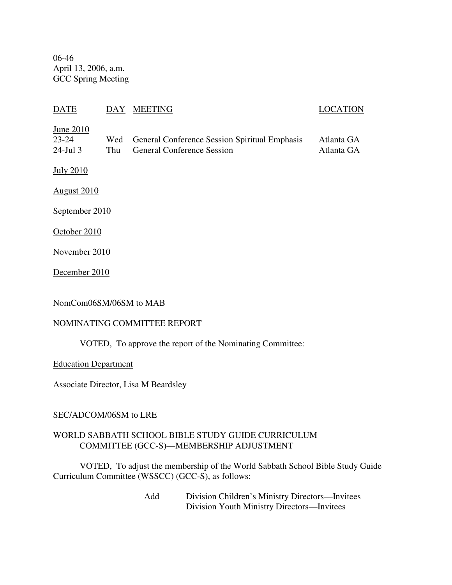06-46 April 13, 2006, a.m. GCC Spring Meeting

## DATE DAY MEETING LOCATION

## June 2010

| $23 - 24$   | Wed General Conference Session Spiritual Emphasis | Atlanta GA |
|-------------|---------------------------------------------------|------------|
| $24$ -Jul 3 | Thu General Conference Session                    | Atlanta GA |

July 2010

August 2010

September 2010

October 2010

November 2010

December 2010

NomCom06SM/06SM to MAB

## NOMINATING COMMITTEE REPORT

VOTED, To approve the report of the Nominating Committee:

Education Department

Associate Director, Lisa M Beardsley

## SEC/ADCOM/06SM to LRE

## WORLD SABBATH SCHOOL BIBLE STUDY GUIDE CURRICULUM COMMITTEE (GCC-S)—MEMBERSHIP ADJUSTMENT

VOTED, To adjust the membership of the World Sabbath School Bible Study Guide Curriculum Committee (WSSCC) (GCC-S), as follows:

> Add Division Children's Ministry Directors—Invitees Division Youth Ministry Directors—Invitees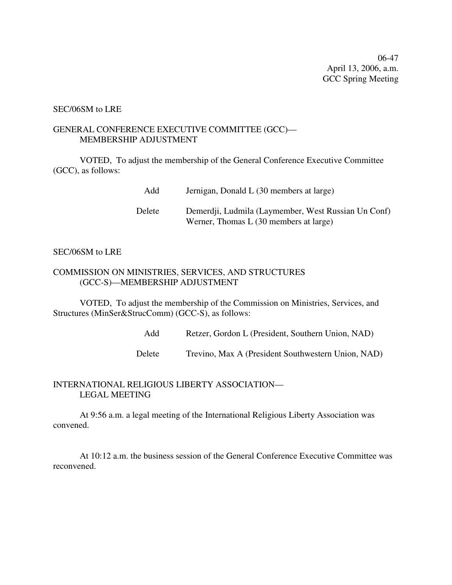06-47 April 13, 2006, a.m. GCC Spring Meeting

#### SEC/06SM to LRE

## GENERAL CONFERENCE EXECUTIVE COMMITTEE (GCC)— MEMBERSHIP ADJUSTMENT

VOTED, To adjust the membership of the General Conference Executive Committee (GCC), as follows:

| Add    | Jernigan, Donald L (30 members at large)                                                      |
|--------|-----------------------------------------------------------------------------------------------|
| Delete | Demerdji, Ludmila (Laymember, West Russian Un Conf)<br>Werner, Thomas L (30 members at large) |

## SEC/06SM to LRE

## COMMISSION ON MINISTRIES, SERVICES, AND STRUCTURES (GCC-S)—MEMBERSHIP ADJUSTMENT

VOTED, To adjust the membership of the Commission on Ministries, Services, and Structures (MinSer&StrucComm) (GCC-S), as follows:

Add Retzer, Gordon L (President, Southern Union, NAD)

Delete Trevino, Max A (President Southwestern Union, NAD)

## INTERNATIONAL RELIGIOUS LIBERTY ASSOCIATION— LEGAL MEETING

At 9:56 a.m. a legal meeting of the International Religious Liberty Association was convened.

At 10:12 a.m. the business session of the General Conference Executive Committee was reconvened.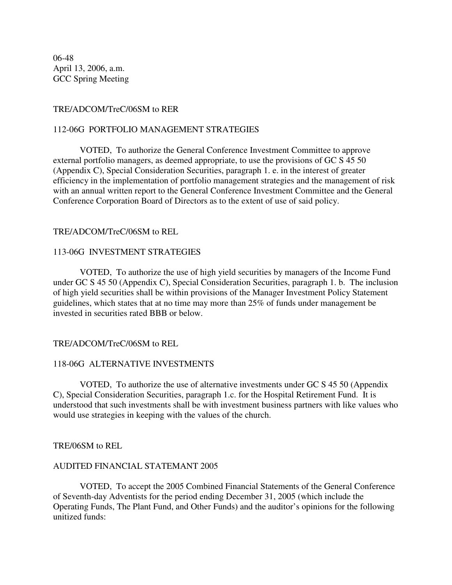06-48 April 13, 2006, a.m. GCC Spring Meeting

## TRE/ADCOM/TreC/06SM to RER

## 112-06G PORTFOLIO MANAGEMENT STRATEGIES

VOTED, To authorize the General Conference Investment Committee to approve external portfolio managers, as deemed appropriate, to use the provisions of GC S 45 50 (Appendix C), Special Consideration Securities, paragraph 1. e. in the interest of greater efficiency in the implementation of portfolio management strategies and the management of risk with an annual written report to the General Conference Investment Committee and the General Conference Corporation Board of Directors as to the extent of use of said policy.

## TRE/ADCOM/TreC/06SM to REL

## 113-06G INVESTMENT STRATEGIES

VOTED, To authorize the use of high yield securities by managers of the Income Fund under GC S 45 50 (Appendix C), Special Consideration Securities, paragraph 1. b. The inclusion of high yield securities shall be within provisions of the Manager Investment Policy Statement guidelines, which states that at no time may more than 25% of funds under management be invested in securities rated BBB or below.

### TRE/ADCOM/TreC/06SM to REL

### 118-06G ALTERNATIVE INVESTMENTS

VOTED, To authorize the use of alternative investments under GC S 45 50 (Appendix C), Special Consideration Securities, paragraph 1.c. for the Hospital Retirement Fund. It is understood that such investments shall be with investment business partners with like values who would use strategies in keeping with the values of the church.

### TRE/06SM to REL

### AUDITED FINANCIAL STATEMANT 2005

VOTED, To accept the 2005 Combined Financial Statements of the General Conference of Seventh-day Adventists for the period ending December 31, 2005 (which include the Operating Funds, The Plant Fund, and Other Funds) and the auditor's opinions for the following unitized funds: